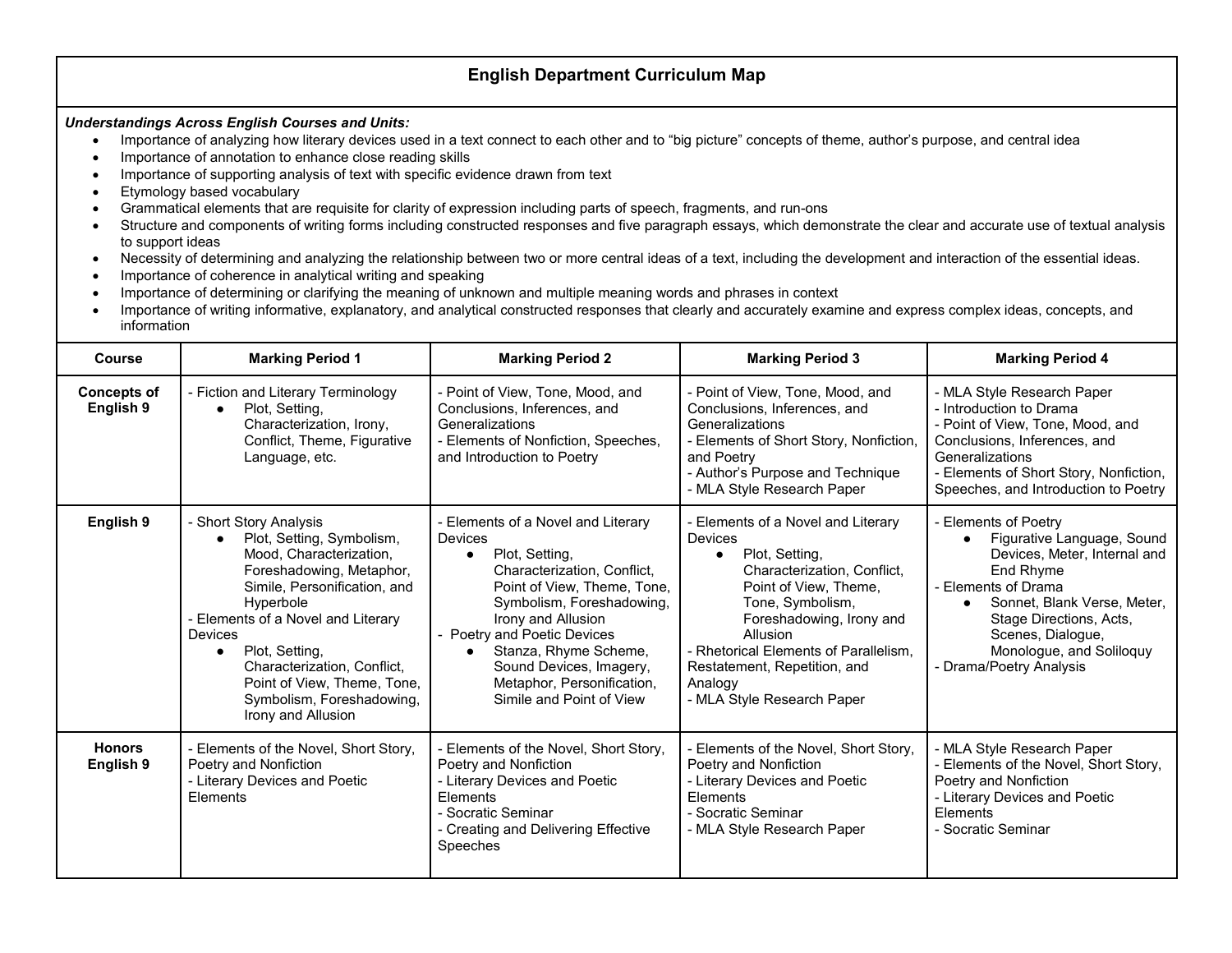## **English Department Curriculum Map**

## *Understandings Across English Courses and Units:*

- Importance of analyzing how literary devices used in a text connect to each other and to "big picture" concepts of theme, author's purpose, and central idea
- Importance of annotation to enhance close reading skills
- Importance of supporting analysis of text with specific evidence drawn from text
- Etymology based vocabulary
- Grammatical elements that are requisite for clarity of expression including parts of speech, fragments, and run-ons
- Structure and components of writing forms including constructed responses and five paragraph essays, which demonstrate the clear and accurate use of textual analysis to support ideas
- Necessity of determining and analyzing the relationship between two or more central ideas of a text, including the development and interaction of the essential ideas.
- Importance of coherence in analytical writing and speaking
- Importance of determining or clarifying the meaning of unknown and multiple meaning words and phrases in context
- Importance of writing informative, explanatory, and analytical constructed responses that clearly and accurately examine and express complex ideas, concepts, and information

| <b>Course</b>                   | <b>Marking Period 1</b>                                                                                                                                                                                                                                                                                                                                         | <b>Marking Period 2</b>                                                                                                                                                                                                                                                                                                              | <b>Marking Period 3</b>                                                                                                                                                                                                                                                                                                   | <b>Marking Period 4</b>                                                                                                                                                                                                                                      |
|---------------------------------|-----------------------------------------------------------------------------------------------------------------------------------------------------------------------------------------------------------------------------------------------------------------------------------------------------------------------------------------------------------------|--------------------------------------------------------------------------------------------------------------------------------------------------------------------------------------------------------------------------------------------------------------------------------------------------------------------------------------|---------------------------------------------------------------------------------------------------------------------------------------------------------------------------------------------------------------------------------------------------------------------------------------------------------------------------|--------------------------------------------------------------------------------------------------------------------------------------------------------------------------------------------------------------------------------------------------------------|
| <b>Concepts of</b><br>English 9 | - Fiction and Literary Terminology<br>Plot, Setting,<br>Characterization, Irony,<br>Conflict, Theme, Figurative<br>Language, etc.                                                                                                                                                                                                                               | - Point of View, Tone, Mood, and<br>Conclusions, Inferences, and<br>Generalizations<br>- Elements of Nonfiction, Speeches,<br>and Introduction to Poetry                                                                                                                                                                             | - Point of View, Tone, Mood, and<br>Conclusions, Inferences, and<br>Generalizations<br>- Elements of Short Story, Nonfiction,<br>and Poetry<br>- Author's Purpose and Technique<br>- MLA Style Research Paper                                                                                                             | - MLA Style Research Paper<br>- Introduction to Drama<br>- Point of View, Tone, Mood, and<br>Conclusions, Inferences, and<br>Generalizations<br>- Elements of Short Story, Nonfiction,<br>Speeches, and Introduction to Poetry                               |
| English 9                       | - Short Story Analysis<br>Plot, Setting, Symbolism,<br>Mood, Characterization,<br>Foreshadowing, Metaphor,<br>Simile, Personification, and<br>Hyperbole<br>- Elements of a Novel and Literary<br><b>Devices</b><br>Plot, Setting,<br>$\bullet$<br>Characterization, Conflict,<br>Point of View, Theme, Tone,<br>Symbolism, Foreshadowing,<br>Irony and Allusion | - Elements of a Novel and Literary<br><b>Devices</b><br>Plot, Setting,<br>Characterization, Conflict,<br>Point of View, Theme, Tone,<br>Symbolism, Foreshadowing,<br>Irony and Allusion<br>- Poetry and Poetic Devices<br>Stanza, Rhyme Scheme,<br>Sound Devices, Imagery,<br>Metaphor, Personification,<br>Simile and Point of View | - Elements of a Novel and Literary<br><b>Devices</b><br>Plot, Setting,<br>$\bullet$<br>Characterization, Conflict,<br>Point of View, Theme,<br>Tone, Symbolism,<br>Foreshadowing, Irony and<br>Allusion<br>- Rhetorical Elements of Parallelism.<br>Restatement, Repetition, and<br>Analogy<br>- MLA Style Research Paper | - Elements of Poetry<br>Figurative Language, Sound<br>Devices, Meter, Internal and<br>End Rhyme<br>- Elements of Drama<br>Sonnet, Blank Verse, Meter,<br>Stage Directions, Acts,<br>Scenes, Dialogue,<br>Monologue, and Soliloquy<br>- Drama/Poetry Analysis |
| <b>Honors</b><br>English 9      | - Elements of the Novel, Short Story,<br>Poetry and Nonfiction<br>- Literary Devices and Poetic<br>Elements                                                                                                                                                                                                                                                     | - Elements of the Novel, Short Story,<br>Poetry and Nonfiction<br>- Literary Devices and Poetic<br>Elements<br>- Socratic Seminar<br>- Creating and Delivering Effective<br>Speeches                                                                                                                                                 | - Elements of the Novel, Short Story,<br>Poetry and Nonfiction<br>- Literary Devices and Poetic<br>Elements<br>- Socratic Seminar<br>- MLA Style Research Paper                                                                                                                                                           | - MLA Style Research Paper<br>- Elements of the Novel, Short Story,<br>Poetry and Nonfiction<br>- Literary Devices and Poetic<br>Elements<br>- Socratic Seminar                                                                                              |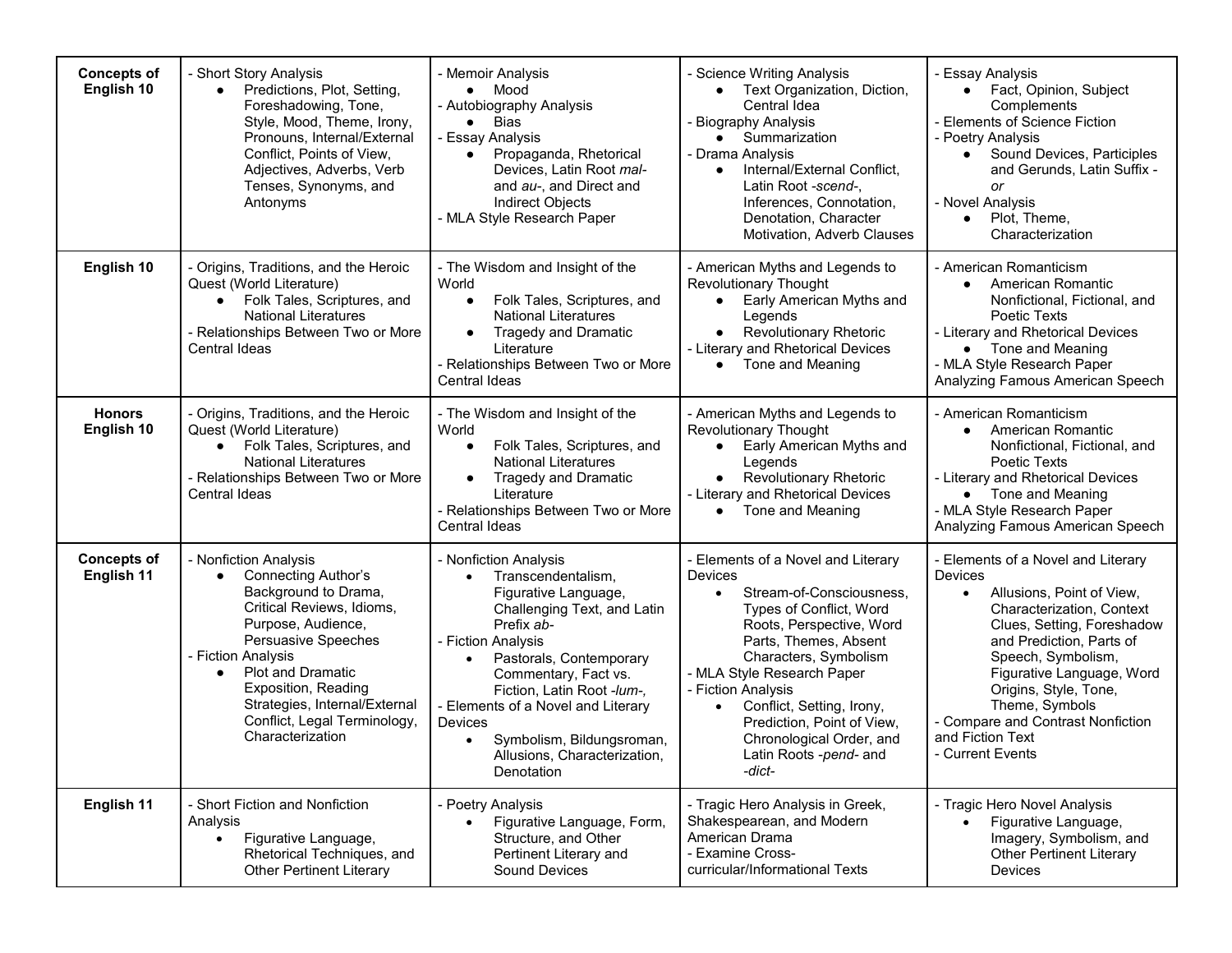| <b>Concepts of</b><br>English 10 | - Short Story Analysis<br>Predictions, Plot, Setting,<br>$\bullet$<br>Foreshadowing, Tone,<br>Style, Mood, Theme, Irony,<br>Pronouns, Internal/External<br>Conflict, Points of View,<br>Adjectives, Adverbs, Verb<br>Tenses, Synonyms, and<br>Antonyms                                                                                  | - Memoir Analysis<br>Mood<br>- Autobiography Analysis<br><b>Bias</b><br>$\bullet$<br>- Essay Analysis<br>Propaganda, Rhetorical<br>Devices, Latin Root mal-<br>and au-, and Direct and<br>Indirect Objects<br>- MLA Style Research Paper                                                                                                                                                   | - Science Writing Analysis<br>• Text Organization, Diction,<br>Central Idea<br>- Biography Analysis<br>$\bullet$ Summarization<br>- Drama Analysis<br>Internal/External Conflict,<br>$\bullet$<br>Latin Root -scend-,<br>Inferences, Connotation,<br>Denotation, Character<br>Motivation, Adverb Clauses                                                                                           | - Essay Analysis<br>Fact, Opinion, Subject<br>$\bullet$<br>Complements<br>- Elements of Science Fiction<br>- Poetry Analysis<br>Sound Devices, Participles<br>and Gerunds, Latin Suffix -<br>or<br>- Novel Analysis<br>Plot, Theme,<br>$\bullet$<br>Characterization                                                                                           |
|----------------------------------|-----------------------------------------------------------------------------------------------------------------------------------------------------------------------------------------------------------------------------------------------------------------------------------------------------------------------------------------|--------------------------------------------------------------------------------------------------------------------------------------------------------------------------------------------------------------------------------------------------------------------------------------------------------------------------------------------------------------------------------------------|----------------------------------------------------------------------------------------------------------------------------------------------------------------------------------------------------------------------------------------------------------------------------------------------------------------------------------------------------------------------------------------------------|----------------------------------------------------------------------------------------------------------------------------------------------------------------------------------------------------------------------------------------------------------------------------------------------------------------------------------------------------------------|
| English 10                       | - Origins, Traditions, and the Heroic<br>Quest (World Literature)<br>Folk Tales, Scriptures, and<br><b>National Literatures</b><br>- Relationships Between Two or More<br>Central Ideas                                                                                                                                                 | - The Wisdom and Insight of the<br>World<br>Folk Tales, Scriptures, and<br><b>National Literatures</b><br><b>Tragedy and Dramatic</b><br>Literature<br>- Relationships Between Two or More<br><b>Central Ideas</b>                                                                                                                                                                         | - American Myths and Legends to<br>Revolutionary Thought<br>Early American Myths and<br>$\bullet$<br>Legends<br><b>Revolutionary Rhetoric</b><br>$\bullet$<br>- Literary and Rhetorical Devices<br>Tone and Meaning                                                                                                                                                                                | - American Romanticism<br>American Romantic<br>Nonfictional, Fictional, and<br>Poetic Texts<br>- Literary and Rhetorical Devices<br>• Tone and Meaning<br>- MLA Style Research Paper<br>Analyzing Famous American Speech                                                                                                                                       |
| <b>Honors</b><br>English 10      | - Origins, Traditions, and the Heroic<br>Quest (World Literature)<br>Folk Tales, Scriptures, and<br>$\bullet$<br><b>National Literatures</b><br>- Relationships Between Two or More<br>Central Ideas                                                                                                                                    | - The Wisdom and Insight of the<br>World<br>Folk Tales, Scriptures, and<br>$\bullet$<br><b>National Literatures</b><br><b>Tragedy and Dramatic</b><br>Literature<br>- Relationships Between Two or More<br>Central Ideas                                                                                                                                                                   | - American Myths and Legends to<br>Revolutionary Thought<br>Early American Myths and<br>$\bullet$<br>Legends<br>• Revolutionary Rhetoric<br>- Literary and Rhetorical Devices<br>Tone and Meaning<br>$\bullet$                                                                                                                                                                                     | - American Romanticism<br>American Romantic<br>Nonfictional, Fictional, and<br>Poetic Texts<br>- Literary and Rhetorical Devices<br>• Tone and Meaning<br>- MLA Style Research Paper<br>Analyzing Famous American Speech                                                                                                                                       |
| <b>Concepts of</b><br>English 11 | - Nonfiction Analysis<br><b>Connecting Author's</b><br>$\bullet$<br>Background to Drama,<br>Critical Reviews, Idioms,<br>Purpose, Audience,<br>Persuasive Speeches<br>- Fiction Analysis<br><b>Plot and Dramatic</b><br><b>Exposition, Reading</b><br>Strategies, Internal/External<br>Conflict, Legal Terminology,<br>Characterization | - Nonfiction Analysis<br>Transcendentalism,<br>$\bullet$<br>Figurative Language,<br>Challenging Text, and Latin<br>Prefix ab-<br>- Fiction Analysis<br>Pastorals, Contemporary<br>$\bullet$<br>Commentary, Fact vs.<br>Fiction, Latin Root -lum-,<br>- Elements of a Novel and Literary<br>Devices<br>Symbolism, Bildungsroman,<br>$\bullet$<br>Allusions, Characterization,<br>Denotation | - Elements of a Novel and Literary<br>Devices<br>Stream-of-Consciousness,<br>$\bullet$<br><b>Types of Conflict, Word</b><br>Roots, Perspective, Word<br>Parts, Themes, Absent<br>Characters, Symbolism<br>- MLA Style Research Paper<br>- Fiction Analysis<br>Conflict, Setting, Irony,<br>$\bullet$<br>Prediction, Point of View,<br>Chronological Order, and<br>Latin Roots -pend- and<br>-dict- | - Elements of a Novel and Literary<br>Devices<br>Allusions, Point of View,<br>$\bullet$<br>Characterization, Context<br>Clues, Setting, Foreshadow<br>and Prediction, Parts of<br>Speech, Symbolism,<br>Figurative Language, Word<br>Origins, Style, Tone,<br>Theme, Symbols<br>- Compare and Contrast Nonfiction<br>and Fiction Text<br><b>Current Events</b> |
| English 11                       | - Short Fiction and Nonfiction<br>Analysis<br>Figurative Language,<br>Rhetorical Techniques, and<br><b>Other Pertinent Literary</b>                                                                                                                                                                                                     | - Poetry Analysis<br>Figurative Language, Form,<br>Structure, and Other<br>Pertinent Literary and<br>Sound Devices                                                                                                                                                                                                                                                                         | - Tragic Hero Analysis in Greek,<br>Shakespearean, and Modern<br>American Drama<br>- Examine Cross-<br>curricular/Informational Texts                                                                                                                                                                                                                                                              | - Tragic Hero Novel Analysis<br>Figurative Language,<br>Imagery, Symbolism, and<br><b>Other Pertinent Literary</b><br><b>Devices</b>                                                                                                                                                                                                                           |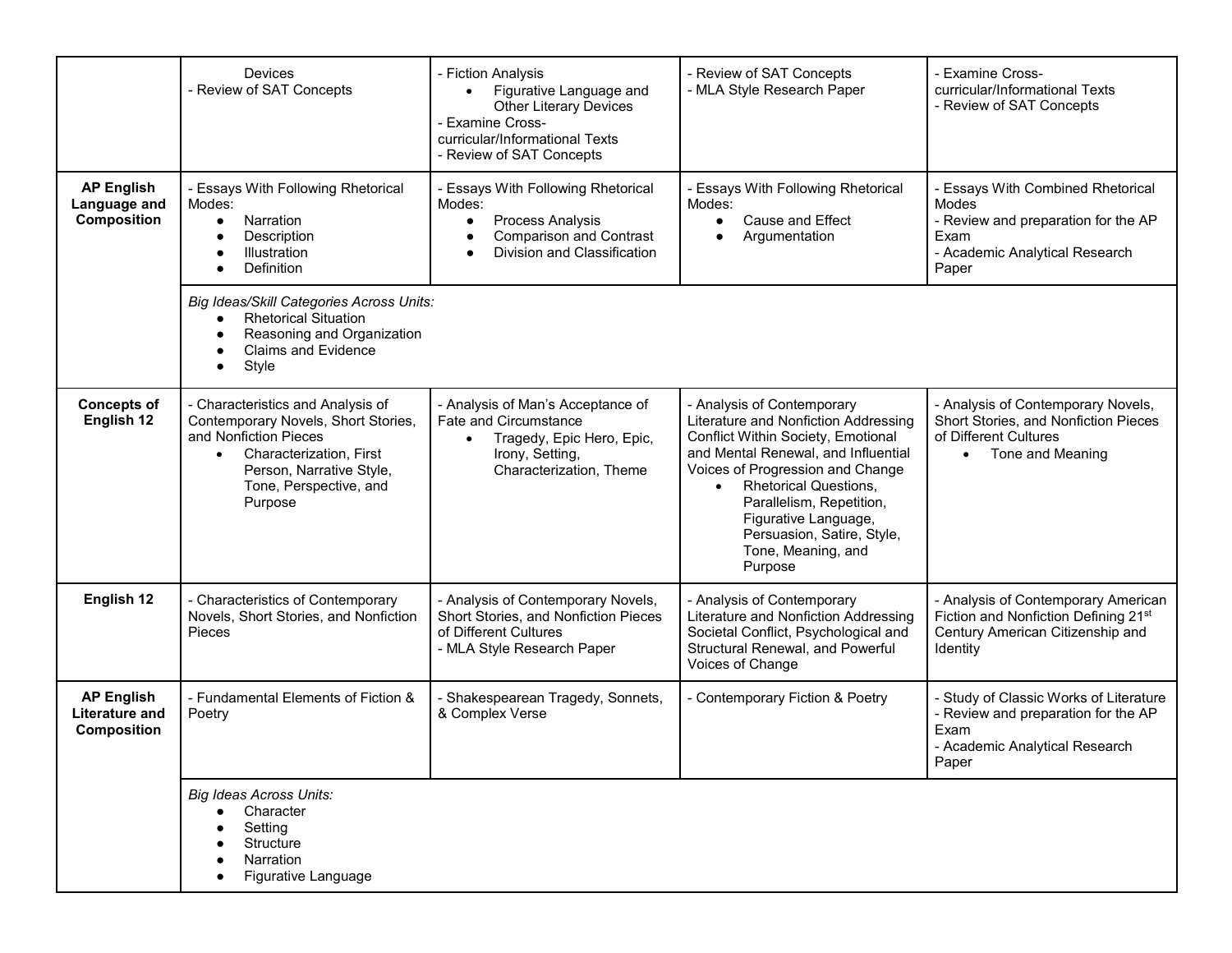|                                                                  | <b>Devices</b><br>- Review of SAT Concepts                                                                                                                                                                 | - Fiction Analysis<br>Figurative Language and<br>$\bullet$<br><b>Other Literary Devices</b><br>- Examine Cross-<br>curricular/Informational Texts<br>- Review of SAT Concepts | - Review of SAT Concepts<br>- MLA Style Research Paper                                                                                                                                                                                                                                                                                              | - Examine Cross-<br>curricular/Informational Texts<br>- Review of SAT Concepts                                                       |
|------------------------------------------------------------------|------------------------------------------------------------------------------------------------------------------------------------------------------------------------------------------------------------|-------------------------------------------------------------------------------------------------------------------------------------------------------------------------------|-----------------------------------------------------------------------------------------------------------------------------------------------------------------------------------------------------------------------------------------------------------------------------------------------------------------------------------------------------|--------------------------------------------------------------------------------------------------------------------------------------|
| <b>AP English</b><br>Language and<br>Composition                 | - Essays With Following Rhetorical<br>Modes:<br>Narration<br>$\bullet$<br>Description<br>Illustration<br>Definition<br>$\bullet$                                                                           | - Essays With Following Rhetorical<br>Modes:<br>Process Analysis<br><b>Comparison and Contrast</b><br>Division and Classification                                             | - Essays With Following Rhetorical<br>Modes:<br><b>Cause and Effect</b><br>$\bullet$<br>Argumentation                                                                                                                                                                                                                                               | - Essays With Combined Rhetorical<br>Modes<br>- Review and preparation for the AP<br>Exam<br>- Academic Analytical Research<br>Paper |
|                                                                  | Big Ideas/Skill Categories Across Units:<br><b>Rhetorical Situation</b><br>Reasoning and Organization<br><b>Claims and Evidence</b><br>Style<br>$\bullet$                                                  |                                                                                                                                                                               |                                                                                                                                                                                                                                                                                                                                                     |                                                                                                                                      |
| <b>Concepts of</b><br>English 12                                 | - Characteristics and Analysis of<br>Contemporary Novels, Short Stories,<br>and Nonfiction Pieces<br>Characterization, First<br>$\bullet$<br>Person, Narrative Style,<br>Tone, Perspective, and<br>Purpose | - Analysis of Man's Acceptance of<br>Fate and Circumstance<br>Tragedy, Epic Hero, Epic,<br>$\bullet$<br>Irony, Setting,<br>Characterization, Theme                            | - Analysis of Contemporary<br>Literature and Nonfiction Addressing<br>Conflict Within Society, Emotional<br>and Mental Renewal, and Influential<br>Voices of Progression and Change<br><b>Rhetorical Questions,</b><br>$\bullet$<br>Parallelism, Repetition,<br>Figurative Language,<br>Persuasion, Satire, Style,<br>Tone, Meaning, and<br>Purpose | - Analysis of Contemporary Novels,<br>Short Stories, and Nonfiction Pieces<br>of Different Cultures<br>Tone and Meaning<br>$\bullet$ |
| English 12                                                       | - Characteristics of Contemporary<br>Novels, Short Stories, and Nonfiction<br>Pieces                                                                                                                       | - Analysis of Contemporary Novels,<br>Short Stories, and Nonfiction Pieces<br>of Different Cultures<br>- MLA Style Research Paper                                             | - Analysis of Contemporary<br>Literature and Nonfiction Addressing<br>Societal Conflict, Psychological and<br>Structural Renewal, and Powerful<br>Voices of Change                                                                                                                                                                                  | - Analysis of Contemporary American<br>Fiction and Nonfiction Defining 21st<br>Century American Citizenship and<br>Identity          |
| <b>AP English</b><br><b>Literature and</b><br><b>Composition</b> | - Fundamental Elements of Fiction &<br>Poetry                                                                                                                                                              | - Shakespearean Tragedy, Sonnets,<br>& Complex Verse                                                                                                                          | - Contemporary Fiction & Poetry                                                                                                                                                                                                                                                                                                                     | - Study of Classic Works of Literature<br>- Review and preparation for the AP<br>Exam<br>- Academic Analytical Research<br>Paper     |
|                                                                  | <b>Big Ideas Across Units:</b><br>Character<br>Setting<br>Structure<br>Narration<br>Figurative Language                                                                                                    |                                                                                                                                                                               |                                                                                                                                                                                                                                                                                                                                                     |                                                                                                                                      |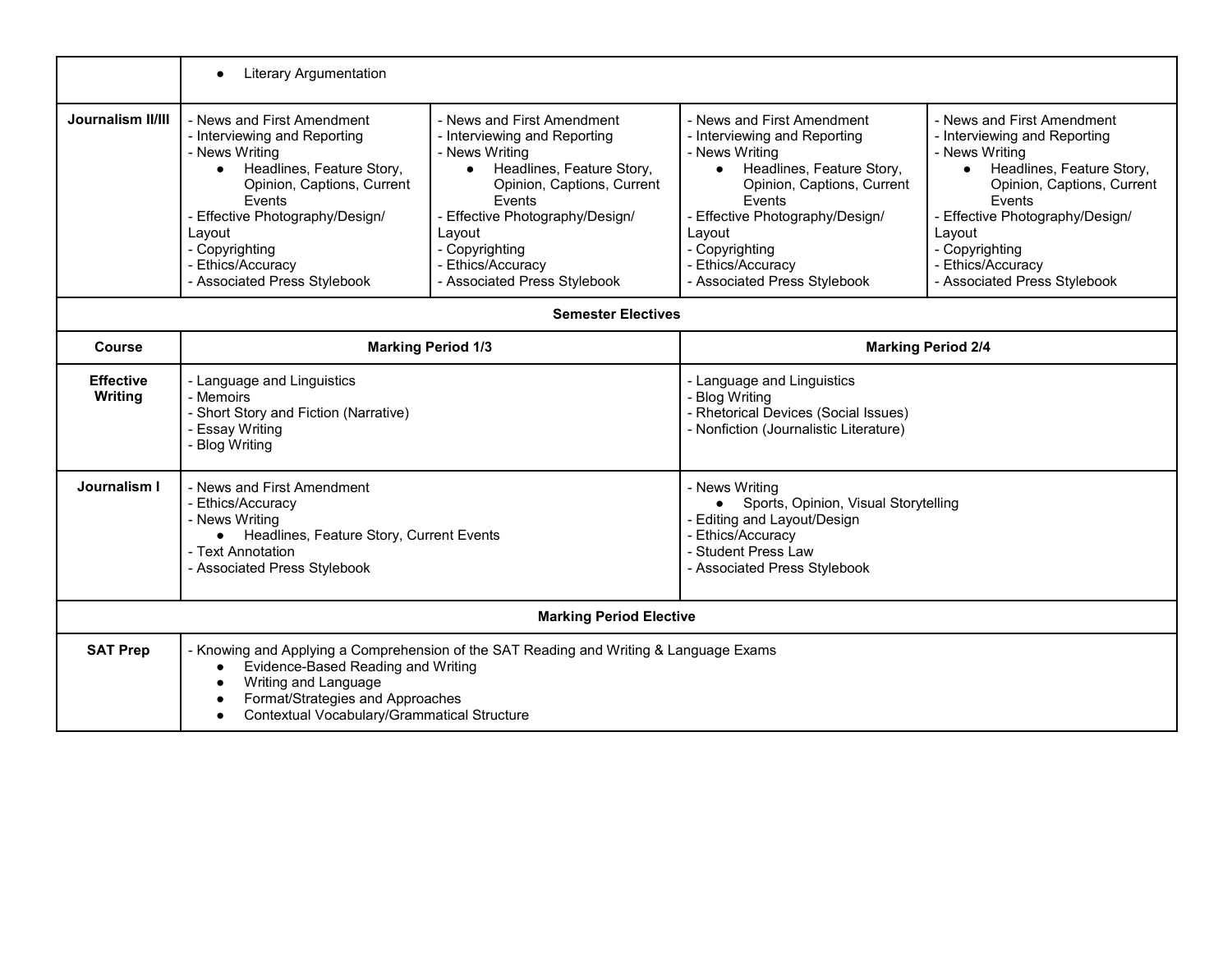|                             | <b>Literary Argumentation</b><br>$\bullet$                                                                                                                                                                                                                          |                                                                                                                                                                                                                                                                       |                                                                                                                                                                                                                                                                       |                                                                                                                                                                                                                                                                                    |
|-----------------------------|---------------------------------------------------------------------------------------------------------------------------------------------------------------------------------------------------------------------------------------------------------------------|-----------------------------------------------------------------------------------------------------------------------------------------------------------------------------------------------------------------------------------------------------------------------|-----------------------------------------------------------------------------------------------------------------------------------------------------------------------------------------------------------------------------------------------------------------------|------------------------------------------------------------------------------------------------------------------------------------------------------------------------------------------------------------------------------------------------------------------------------------|
| <b>Journalism II/III</b>    | - News and First Amendment<br>- Interviewing and Reporting<br>- News Writing<br>Headlines, Feature Story,<br>Opinion, Captions, Current<br>Events<br>Effective Photography/Design/<br>Layout<br>- Copyrighting<br>- Ethics/Accuracy<br>- Associated Press Stylebook | - News and First Amendment<br>- Interviewing and Reporting<br>- News Writing<br>Headlines, Feature Story,<br>Opinion, Captions, Current<br>Events<br>- Effective Photography/Design/<br>Layout<br>- Copyrighting<br>- Ethics/Accuracy<br>- Associated Press Stylebook | - News and First Amendment<br>- Interviewing and Reporting<br>- News Writing<br>Headlines, Feature Story,<br>Opinion, Captions, Current<br>Events<br>- Effective Photography/Design/<br>Layout<br>- Copyrighting<br>- Ethics/Accuracy<br>- Associated Press Stylebook | - News and First Amendment<br>- Interviewing and Reporting<br>- News Writing<br>Headlines, Feature Story,<br>$\bullet$<br>Opinion, Captions, Current<br>Events<br>- Effective Photography/Design/<br>Layout<br>- Copyrighting<br>- Ethics/Accuracy<br>- Associated Press Stylebook |
|                             |                                                                                                                                                                                                                                                                     | <b>Semester Electives</b>                                                                                                                                                                                                                                             |                                                                                                                                                                                                                                                                       |                                                                                                                                                                                                                                                                                    |
| <b>Course</b>               | <b>Marking Period 1/3</b>                                                                                                                                                                                                                                           |                                                                                                                                                                                                                                                                       | <b>Marking Period 2/4</b>                                                                                                                                                                                                                                             |                                                                                                                                                                                                                                                                                    |
| <b>Effective</b><br>Writing | - Language and Linguistics<br>- Memoirs<br>- Short Story and Fiction (Narrative)<br>- Essay Writing<br><b>Blog Writing</b>                                                                                                                                          |                                                                                                                                                                                                                                                                       | - Language and Linguistics<br>- Blog Writing<br>- Rhetorical Devices (Social Issues)<br>- Nonfiction (Journalistic Literature)                                                                                                                                        |                                                                                                                                                                                                                                                                                    |
| Journalism I                | - News and First Amendment<br>- Ethics/Accuracy<br>- News Writing<br>• Headlines, Feature Story, Current Events<br>- Text Annotation<br>- Associated Press Stylebook                                                                                                |                                                                                                                                                                                                                                                                       | - News Writing<br>• Sports, Opinion, Visual Storytelling<br>- Editing and Layout/Design<br>- Ethics/Accuracy<br>- Student Press Law<br>- Associated Press Stylebook                                                                                                   |                                                                                                                                                                                                                                                                                    |
|                             |                                                                                                                                                                                                                                                                     | <b>Marking Period Elective</b>                                                                                                                                                                                                                                        |                                                                                                                                                                                                                                                                       |                                                                                                                                                                                                                                                                                    |
| <b>SAT Prep</b>             | Evidence-Based Reading and Writing<br>$\bullet$<br>Writing and Language<br>$\bullet$<br>Format/Strategies and Approaches<br>Contextual Vocabulary/Grammatical Structure                                                                                             | - Knowing and Applying a Comprehension of the SAT Reading and Writing & Language Exams                                                                                                                                                                                |                                                                                                                                                                                                                                                                       |                                                                                                                                                                                                                                                                                    |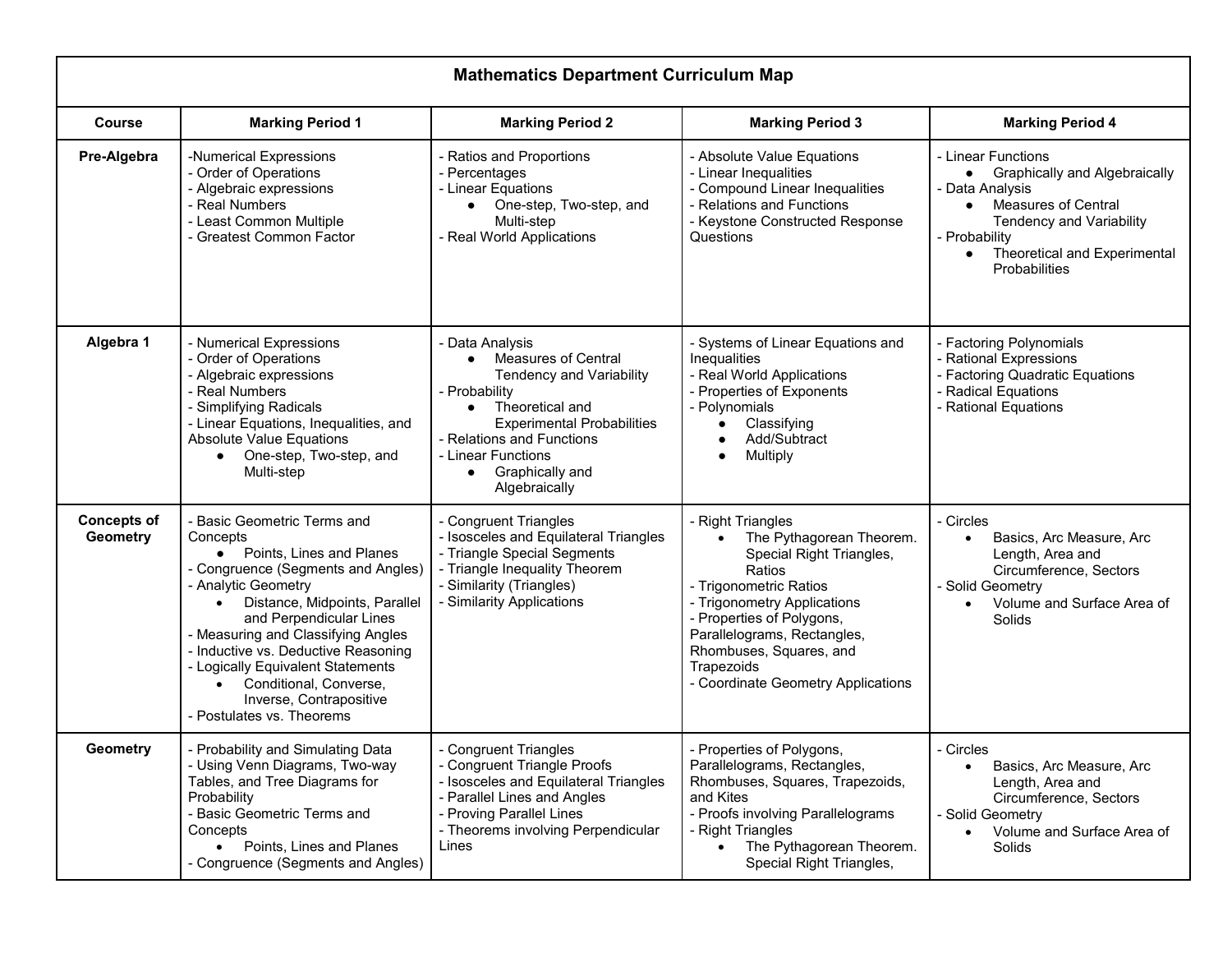| <b>Mathematics Department Curriculum Map</b> |                                                                                                                                                                                                                                                                                                                                                                                                         |                                                                                                                                                                                                                                                                            |                                                                                                                                                                                                                                                                                         |                                                                                                                                                                                                                                       |
|----------------------------------------------|---------------------------------------------------------------------------------------------------------------------------------------------------------------------------------------------------------------------------------------------------------------------------------------------------------------------------------------------------------------------------------------------------------|----------------------------------------------------------------------------------------------------------------------------------------------------------------------------------------------------------------------------------------------------------------------------|-----------------------------------------------------------------------------------------------------------------------------------------------------------------------------------------------------------------------------------------------------------------------------------------|---------------------------------------------------------------------------------------------------------------------------------------------------------------------------------------------------------------------------------------|
| <b>Course</b>                                | <b>Marking Period 1</b>                                                                                                                                                                                                                                                                                                                                                                                 | <b>Marking Period 2</b>                                                                                                                                                                                                                                                    | <b>Marking Period 3</b>                                                                                                                                                                                                                                                                 | <b>Marking Period 4</b>                                                                                                                                                                                                               |
| Pre-Algebra                                  | -Numerical Expressions<br>- Order of Operations<br>- Algebraic expressions<br>- Real Numbers<br>- Least Common Multiple<br>- Greatest Common Factor                                                                                                                                                                                                                                                     | - Ratios and Proportions<br>- Percentages<br>- Linear Equations<br>One-step, Two-step, and<br>$\bullet$<br>Multi-step<br>- Real World Applications                                                                                                                         | - Absolute Value Equations<br>- Linear Inequalities<br>- Compound Linear Inequalities<br>- Relations and Functions<br>- Keystone Constructed Response<br>Questions                                                                                                                      | - Linear Functions<br>• Graphically and Algebraically<br>- Data Analysis<br><b>Measures of Central</b><br>$\bullet$<br><b>Tendency and Variability</b><br>- Probability<br>Theoretical and Experimental<br>$\bullet$<br>Probabilities |
| Algebra 1                                    | - Numerical Expressions<br>- Order of Operations<br>- Algebraic expressions<br>- Real Numbers<br>- Simplifying Radicals<br>- Linear Equations, Inequalities, and<br><b>Absolute Value Equations</b><br>One-step, Two-step, and<br>$\bullet$<br>Multi-step                                                                                                                                               | - Data Analysis<br><b>Measures of Central</b><br>$\bullet$<br><b>Tendency and Variability</b><br>- Probability<br>Theoretical and<br>$\bullet$<br><b>Experimental Probabilities</b><br>- Relations and Functions<br>- Linear Functions<br>Graphically and<br>Algebraically | - Systems of Linear Equations and<br>Inequalities<br>- Real World Applications<br>- Properties of Exponents<br>- Polynomials<br>Classifying<br>Add/Subtract<br>Multiply                                                                                                                 | - Factoring Polynomials<br>- Rational Expressions<br>- Factoring Quadratic Equations<br>- Radical Equations<br>- Rational Equations                                                                                                   |
| <b>Concepts of</b><br><b>Geometry</b>        | <b>Basic Geometric Terms and</b><br>Concepts<br>• Points, Lines and Planes<br>- Congruence (Segments and Angles)<br>- Analytic Geometry<br>Distance, Midpoints, Parallel<br>and Perpendicular Lines<br>- Measuring and Classifying Angles<br>- Inductive vs. Deductive Reasoning<br>- Logically Equivalent Statements<br>Conditional, Converse,<br>Inverse, Contrapositive<br>- Postulates vs. Theorems | - Congruent Triangles<br>- Isosceles and Equilateral Triangles<br>- Triangle Special Segments<br>- Triangle Inequality Theorem<br>- Similarity (Triangles)<br>- Similarity Applications                                                                                    | - Right Triangles<br>The Pythagorean Theorem.<br>Special Right Triangles,<br>Ratios<br>- Trigonometric Ratios<br>- Trigonometry Applications<br>- Properties of Polygons,<br>Parallelograms, Rectangles,<br>Rhombuses, Squares, and<br>Trapezoids<br>- Coordinate Geometry Applications | - Circles<br>Basics, Arc Measure, Arc<br>$\bullet$<br>Length, Area and<br>Circumference, Sectors<br>- Solid Geometry<br>Volume and Surface Area of<br>$\bullet$<br>Solids                                                             |
| <b>Geometry</b>                              | Probability and Simulating Data<br>- Using Venn Diagrams, Two-way<br>Tables, and Tree Diagrams for<br>Probability<br>- Basic Geometric Terms and<br>Concepts<br>• Points, Lines and Planes<br>- Congruence (Segments and Angles)                                                                                                                                                                        | <b>Congruent Triangles</b><br>- Congruent Triangle Proofs<br>- Isosceles and Equilateral Triangles<br>- Parallel Lines and Angles<br>- Proving Parallel Lines<br>- Theorems involving Perpendicular<br>Lines                                                               | Properties of Polygons,<br>Parallelograms, Rectangles,<br>Rhombuses, Squares, Trapezoids,<br>and Kites<br>- Proofs involving Parallelograms<br>- Right Triangles<br>The Pythagorean Theorem.<br>Special Right Triangles,                                                                | Circles<br>Basics, Arc Measure, Arc<br>$\bullet$<br>Length, Area and<br>Circumference, Sectors<br>- Solid Geometry<br>Volume and Surface Area of<br>Solids                                                                            |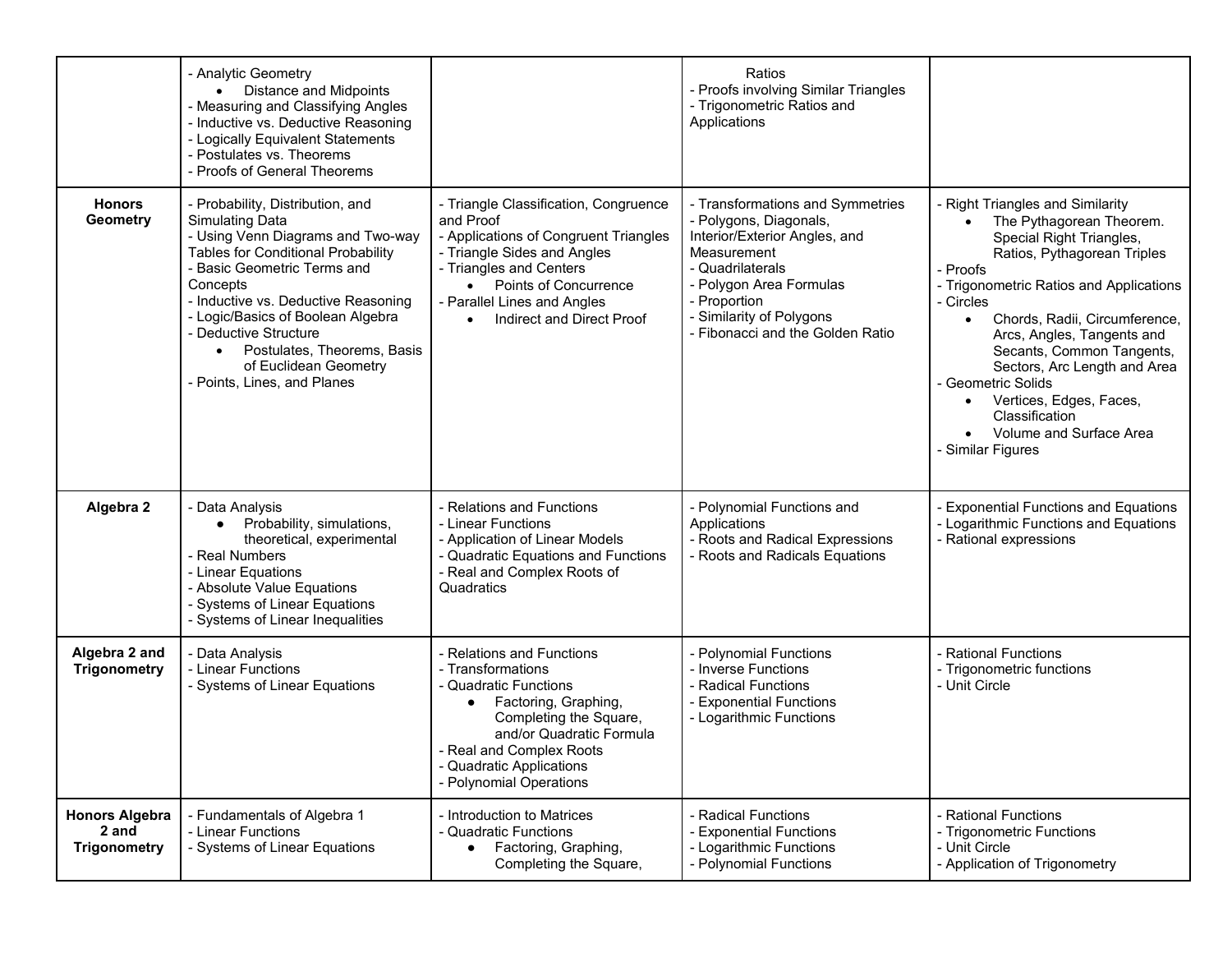|                                                       | - Analytic Geometry<br>• Distance and Midpoints<br>- Measuring and Classifying Angles<br>- Inductive vs. Deductive Reasoning<br>- Logically Equivalent Statements<br>- Postulates vs. Theorems<br>- Proofs of General Theorems                                                                                                                                                                   |                                                                                                                                                                                                                                                                | Ratios<br>- Proofs involving Similar Triangles<br>- Trigonometric Ratios and<br>Applications                                                                                                                                              |                                                                                                                                                                                                                                                                                                                                                                                                                                                                      |
|-------------------------------------------------------|--------------------------------------------------------------------------------------------------------------------------------------------------------------------------------------------------------------------------------------------------------------------------------------------------------------------------------------------------------------------------------------------------|----------------------------------------------------------------------------------------------------------------------------------------------------------------------------------------------------------------------------------------------------------------|-------------------------------------------------------------------------------------------------------------------------------------------------------------------------------------------------------------------------------------------|----------------------------------------------------------------------------------------------------------------------------------------------------------------------------------------------------------------------------------------------------------------------------------------------------------------------------------------------------------------------------------------------------------------------------------------------------------------------|
| <b>Honors</b><br><b>Geometry</b>                      | - Probability, Distribution, and<br><b>Simulating Data</b><br>- Using Venn Diagrams and Two-way<br><b>Tables for Conditional Probability</b><br>- Basic Geometric Terms and<br>Concepts<br>- Inductive vs. Deductive Reasoning<br>- Logic/Basics of Boolean Algebra<br>- Deductive Structure<br>Postulates, Theorems, Basis<br>$\bullet$<br>of Euclidean Geometry<br>- Points, Lines, and Planes | - Triangle Classification, Congruence<br>and Proof<br>- Applications of Congruent Triangles<br>- Triangle Sides and Angles<br>- Triangles and Centers<br><b>Points of Concurrence</b><br>$\bullet$<br>- Parallel Lines and Angles<br>Indirect and Direct Proof | - Transformations and Symmetries<br>- Polygons, Diagonals,<br>Interior/Exterior Angles, and<br>Measurement<br>- Quadrilaterals<br>- Polygon Area Formulas<br>- Proportion<br>- Similarity of Polygons<br>- Fibonacci and the Golden Ratio | - Right Triangles and Similarity<br>The Pythagorean Theorem.<br>Special Right Triangles,<br>Ratios, Pythagorean Triples<br>- Proofs<br>- Trigonometric Ratios and Applications<br>- Circles<br>Chords, Radii, Circumference,<br>$\bullet$<br>Arcs, Angles, Tangents and<br>Secants, Common Tangents,<br>Sectors, Arc Length and Area<br>- Geometric Solids<br>Vertices, Edges, Faces,<br>$\bullet$<br>Classification<br>Volume and Surface Area<br>- Similar Figures |
| Algebra 2                                             | - Data Analysis<br>Probability, simulations,<br>theoretical, experimental<br>- Real Numbers<br>- Linear Equations<br>- Absolute Value Equations<br>- Systems of Linear Equations<br>- Systems of Linear Inequalities                                                                                                                                                                             | - Relations and Functions<br>- Linear Functions<br>- Application of Linear Models<br>- Quadratic Equations and Functions<br>- Real and Complex Roots of<br>Quadratics                                                                                          | - Polynomial Functions and<br>Applications<br>- Roots and Radical Expressions<br>- Roots and Radicals Equations                                                                                                                           | - Exponential Functions and Equations<br>- Logarithmic Functions and Equations<br>- Rational expressions                                                                                                                                                                                                                                                                                                                                                             |
| Algebra 2 and<br><b>Trigonometry</b>                  | - Data Analysis<br>- Linear Functions<br>- Systems of Linear Equations                                                                                                                                                                                                                                                                                                                           | - Relations and Functions<br>- Transformations<br>- Quadratic Functions<br>Factoring, Graphing,<br>$\bullet$<br>Completing the Square,<br>and/or Quadratic Formula<br>- Real and Complex Roots<br>- Quadratic Applications<br>- Polynomial Operations          | - Polynomial Functions<br>- Inverse Functions<br>- Radical Functions<br>- Exponential Functions<br>- Logarithmic Functions                                                                                                                | - Rational Functions<br>- Trigonometric functions<br>- Unit Circle                                                                                                                                                                                                                                                                                                                                                                                                   |
| <b>Honors Algebra</b><br>2 and<br><b>Trigonometry</b> | - Fundamentals of Algebra 1<br>- Linear Functions<br>- Systems of Linear Equations                                                                                                                                                                                                                                                                                                               | - Introduction to Matrices<br>- Quadratic Functions<br>Factoring, Graphing,<br>$\bullet$<br>Completing the Square,                                                                                                                                             | - Radical Functions<br>- Exponential Functions<br>- Logarithmic Functions<br>- Polynomial Functions                                                                                                                                       | - Rational Functions<br>- Trigonometric Functions<br>- Unit Circle<br>- Application of Trigonometry                                                                                                                                                                                                                                                                                                                                                                  |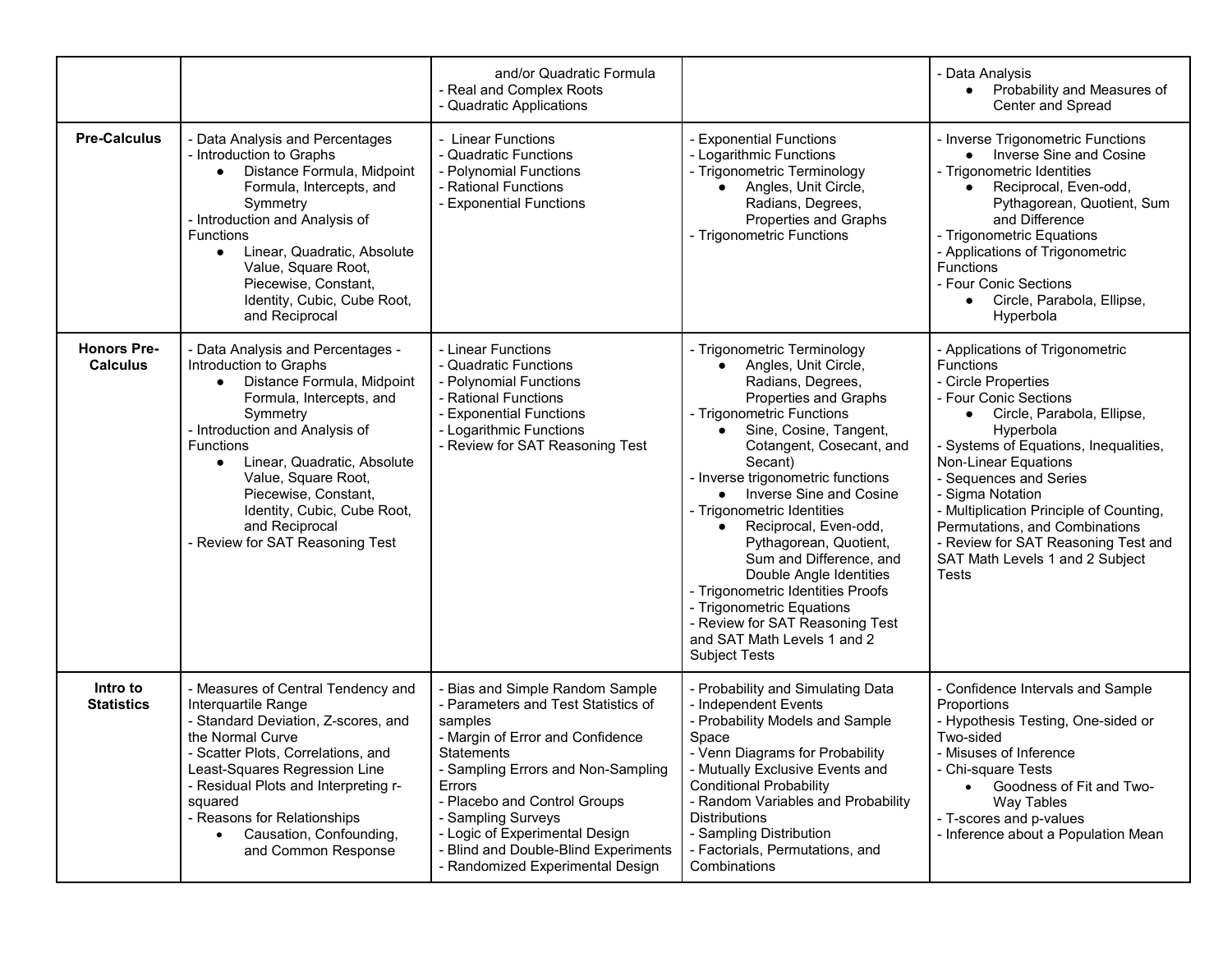|                                       |                                                                                                                                                                                                                                                                                                                                                                 | and/or Quadratic Formula<br>- Real and Complex Roots<br>- Quadratic Applications                                                                                                                                                                                                                                                                      |                                                                                                                                                                                                                                                                                                                                                                                                                                                                                                                                                                                 | - Data Analysis<br>Probability and Measures of<br>$\bullet$<br>Center and Spread                                                                                                                                                                                                                                                                                                                                                           |
|---------------------------------------|-----------------------------------------------------------------------------------------------------------------------------------------------------------------------------------------------------------------------------------------------------------------------------------------------------------------------------------------------------------------|-------------------------------------------------------------------------------------------------------------------------------------------------------------------------------------------------------------------------------------------------------------------------------------------------------------------------------------------------------|---------------------------------------------------------------------------------------------------------------------------------------------------------------------------------------------------------------------------------------------------------------------------------------------------------------------------------------------------------------------------------------------------------------------------------------------------------------------------------------------------------------------------------------------------------------------------------|--------------------------------------------------------------------------------------------------------------------------------------------------------------------------------------------------------------------------------------------------------------------------------------------------------------------------------------------------------------------------------------------------------------------------------------------|
| <b>Pre-Calculus</b>                   | - Data Analysis and Percentages<br>- Introduction to Graphs<br>Distance Formula, Midpoint<br>Formula, Intercepts, and<br>Symmetry<br>- Introduction and Analysis of<br><b>Functions</b><br>Linear, Quadratic, Absolute<br>$\bullet$<br>Value, Square Root,<br>Piecewise, Constant,<br>Identity, Cubic, Cube Root,<br>and Reciprocal                             | - Linear Functions<br>- Quadratic Functions<br>- Polynomial Functions<br>- Rational Functions<br>- Exponential Functions                                                                                                                                                                                                                              | - Exponential Functions<br>- Logarithmic Functions<br>- Trigonometric Terminology<br>Angles, Unit Circle,<br>Radians, Degrees,<br>Properties and Graphs<br>- Trigonometric Functions                                                                                                                                                                                                                                                                                                                                                                                            | - Inverse Trigonometric Functions<br>• Inverse Sine and Cosine<br>- Trigonometric Identities<br>Reciprocal, Even-odd,<br>$\bullet$<br>Pythagorean, Quotient, Sum<br>and Difference<br>- Trigonometric Equations<br>- Applications of Trigonometric<br><b>Functions</b><br>- Four Conic Sections<br>Circle, Parabola, Ellipse,<br>Hyperbola                                                                                                 |
| <b>Honors Pre-</b><br><b>Calculus</b> | - Data Analysis and Percentages -<br>Introduction to Graphs<br>Distance Formula, Midpoint<br>Formula, Intercepts, and<br>Symmetry<br>- Introduction and Analysis of<br>Functions<br>Linear, Quadratic, Absolute<br>$\bullet$<br>Value, Square Root,<br>Piecewise, Constant,<br>Identity, Cubic, Cube Root,<br>and Reciprocal<br>- Review for SAT Reasoning Test | - Linear Functions<br>- Quadratic Functions<br>- Polynomial Functions<br>- Rational Functions<br>- Exponential Functions<br>- Logarithmic Functions<br>- Review for SAT Reasoning Test                                                                                                                                                                | - Trigonometric Terminology<br>Angles, Unit Circle,<br>$\bullet$<br>Radians, Degrees,<br>Properties and Graphs<br>- Trigonometric Functions<br>Sine, Cosine, Tangent,<br>Cotangent, Cosecant, and<br>Secant)<br>- Inverse trigonometric functions<br>Inverse Sine and Cosine<br>- Trigonometric Identities<br>Reciprocal, Even-odd,<br>Pythagorean, Quotient,<br>Sum and Difference, and<br>Double Angle Identities<br>- Trigonometric Identities Proofs<br>- Trigonometric Equations<br>- Review for SAT Reasoning Test<br>and SAT Math Levels 1 and 2<br><b>Subject Tests</b> | - Applications of Trigonometric<br><b>Functions</b><br>- Circle Properties<br>- Four Conic Sections<br>Circle, Parabola, Ellipse,<br>$\bullet$<br>Hyperbola<br>- Systems of Equations, Inequalities,<br>Non-Linear Equations<br>- Sequences and Series<br>- Sigma Notation<br>- Multiplication Principle of Counting,<br>Permutations, and Combinations<br>- Review for SAT Reasoning Test and<br>SAT Math Levels 1 and 2 Subject<br>Tests |
| Intro to<br><b>Statistics</b>         | - Measures of Central Tendency and<br>Interquartile Range<br>- Standard Deviation, Z-scores, and<br>the Normal Curve<br>Scatter Plots, Correlations, and<br>Least-Squares Regression Line<br>- Residual Plots and Interpreting r-<br>squared<br>- Reasons for Relationships<br>Causation, Confounding,<br>and Common Response                                   | Bias and Simple Random Sample<br>- Parameters and Test Statistics of<br>samples<br>- Margin of Error and Confidence<br>Statements<br>- Sampling Errors and Non-Sampling<br>Errors<br>- Placebo and Control Groups<br>- Sampling Surveys<br>- Logic of Experimental Design<br>- Blind and Double-Blind Experiments<br>- Randomized Experimental Design | - Probability and Simulating Data<br>- Independent Events<br>- Probability Models and Sample<br>Space<br>- Venn Diagrams for Probability<br>- Mutually Exclusive Events and<br><b>Conditional Probability</b><br>- Random Variables and Probability<br><b>Distributions</b><br>- Sampling Distribution<br>- Factorials, Permutations, and<br>Combinations                                                                                                                                                                                                                       | - Confidence Intervals and Sample<br>Proportions<br>- Hypothesis Testing, One-sided or<br>Two-sided<br>- Misuses of Inference<br>- Chi-square Tests<br>Goodness of Fit and Two-<br>Way Tables<br>- T-scores and p-values<br>- Inference about a Population Mean                                                                                                                                                                            |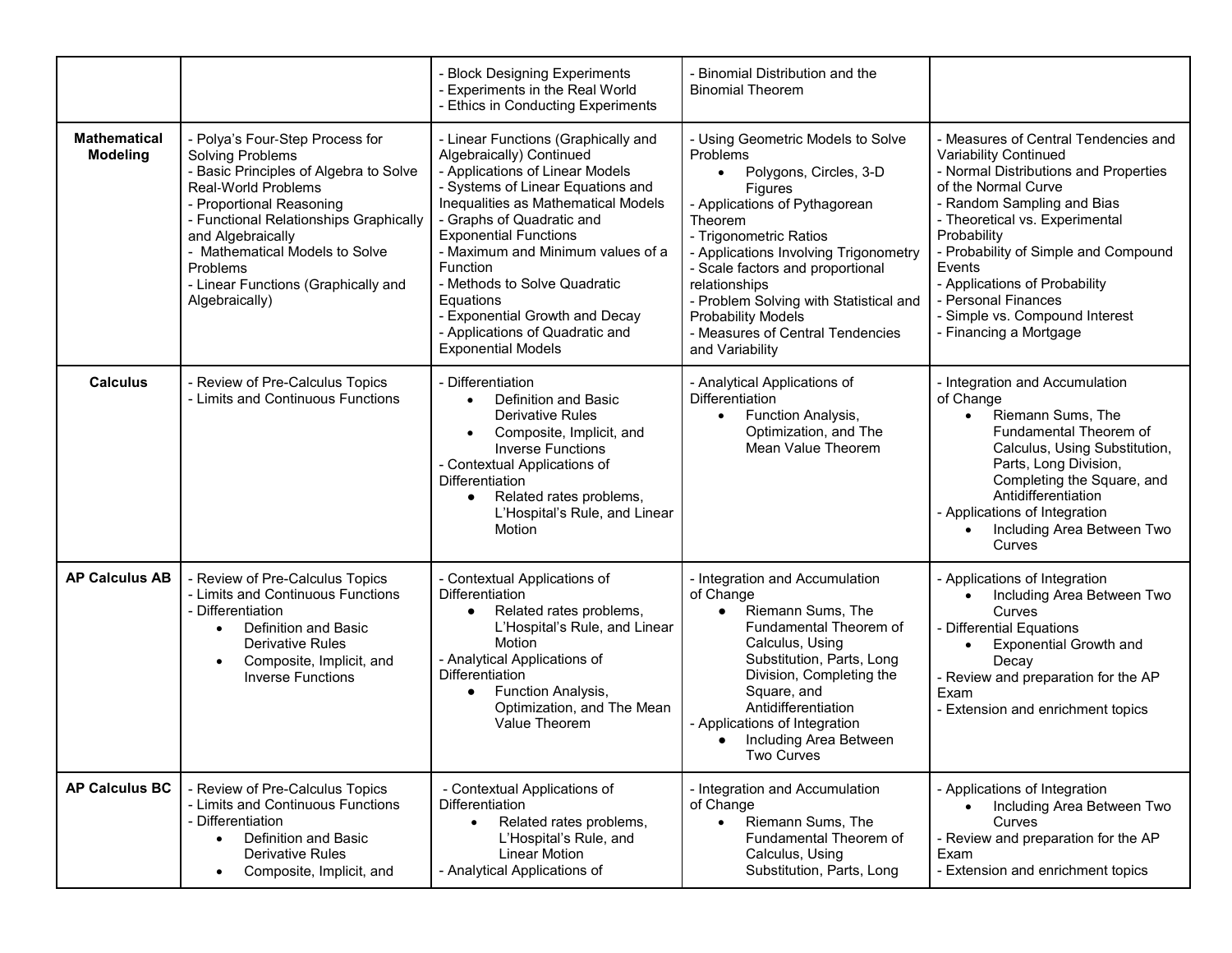|                                        |                                                                                                                                                                                                                                                                                                                               | - Block Designing Experiments<br>- Experiments in the Real World<br>- Ethics in Conducting Experiments                                                                                                                                                                                                                                                                                                                                             | - Binomial Distribution and the<br><b>Binomial Theorem</b>                                                                                                                                                                                                                                                                                                                                        |                                                                                                                                                                                                                                                                                                                                                                                    |
|----------------------------------------|-------------------------------------------------------------------------------------------------------------------------------------------------------------------------------------------------------------------------------------------------------------------------------------------------------------------------------|----------------------------------------------------------------------------------------------------------------------------------------------------------------------------------------------------------------------------------------------------------------------------------------------------------------------------------------------------------------------------------------------------------------------------------------------------|---------------------------------------------------------------------------------------------------------------------------------------------------------------------------------------------------------------------------------------------------------------------------------------------------------------------------------------------------------------------------------------------------|------------------------------------------------------------------------------------------------------------------------------------------------------------------------------------------------------------------------------------------------------------------------------------------------------------------------------------------------------------------------------------|
| <b>Mathematical</b><br><b>Modeling</b> | - Polya's Four-Step Process for<br><b>Solving Problems</b><br>- Basic Principles of Algebra to Solve<br>Real-World Problems<br>- Proportional Reasoning<br>- Functional Relationships Graphically<br>and Algebraically<br>- Mathematical Models to Solve<br>Problems<br>- Linear Functions (Graphically and<br>Algebraically) | - Linear Functions (Graphically and<br>Algebraically) Continued<br>- Applications of Linear Models<br>- Systems of Linear Equations and<br>Inequalities as Mathematical Models<br>- Graphs of Quadratic and<br><b>Exponential Functions</b><br>- Maximum and Minimum values of a<br><b>Function</b><br>- Methods to Solve Quadratic<br>Equations<br>- Exponential Growth and Decay<br>- Applications of Quadratic and<br><b>Exponential Models</b> | - Using Geometric Models to Solve<br>Problems<br>Polygons, Circles, 3-D<br>$\bullet$<br>Figures<br>- Applications of Pythagorean<br>Theorem<br>- Trigonometric Ratios<br>- Applications Involving Trigonometry<br>- Scale factors and proportional<br>relationships<br>- Problem Solving with Statistical and<br><b>Probability Models</b><br>- Measures of Central Tendencies<br>and Variability | - Measures of Central Tendencies and<br>Variability Continued<br>- Normal Distributions and Properties<br>of the Normal Curve<br>- Random Sampling and Bias<br>- Theoretical vs. Experimental<br>Probability<br>- Probability of Simple and Compound<br>Events<br>- Applications of Probability<br>- Personal Finances<br>- Simple vs. Compound Interest<br>- Financing a Mortgage |
| <b>Calculus</b>                        | - Review of Pre-Calculus Topics<br>- Limits and Continuous Functions                                                                                                                                                                                                                                                          | - Differentiation<br>Definition and Basic<br>$\bullet$<br><b>Derivative Rules</b><br>Composite, Implicit, and<br>$\bullet$<br><b>Inverse Functions</b><br>- Contextual Applications of<br>Differentiation<br>Related rates problems,<br>$\bullet$<br>L'Hospital's Rule, and Linear<br>Motion                                                                                                                                                       | - Analytical Applications of<br>Differentiation<br>Function Analysis,<br>$\bullet$<br>Optimization, and The<br>Mean Value Theorem                                                                                                                                                                                                                                                                 | - Integration and Accumulation<br>of Change<br>Riemann Sums, The<br>$\bullet$<br>Fundamental Theorem of<br>Calculus, Using Substitution,<br>Parts, Long Division,<br>Completing the Square, and<br>Antidifferentiation<br>- Applications of Integration<br>Including Area Between Two<br>Curves                                                                                    |
| <b>AP Calculus AB</b>                  | - Review of Pre-Calculus Topics<br>- Limits and Continuous Functions<br>- Differentiation<br>Definition and Basic<br>$\bullet$<br><b>Derivative Rules</b><br>Composite, Implicit, and<br>$\bullet$<br><b>Inverse Functions</b>                                                                                                | - Contextual Applications of<br><b>Differentiation</b><br>Related rates problems,<br>L'Hospital's Rule, and Linear<br>Motion<br>- Analytical Applications of<br>Differentiation<br>Function Analysis,<br>$\bullet$<br>Optimization, and The Mean<br>Value Theorem                                                                                                                                                                                  | - Integration and Accumulation<br>of Change<br>Riemann Sums, The<br>$\bullet$<br>Fundamental Theorem of<br>Calculus, Using<br>Substitution, Parts, Long<br>Division, Completing the<br>Square, and<br>Antidifferentiation<br>- Applications of Integration<br>Including Area Between<br>Two Curves                                                                                                | - Applications of Integration<br>Including Area Between Two<br>Curves<br>- Differential Equations<br><b>Exponential Growth and</b><br>$\bullet$<br>Decay<br>- Review and preparation for the AP<br>Exam<br>- Extension and enrichment topics                                                                                                                                       |
| <b>AP Calculus BC</b>                  | - Review of Pre-Calculus Topics<br>- Limits and Continuous Functions<br>- Differentiation<br>Definition and Basic<br>$\bullet$<br><b>Derivative Rules</b><br>Composite, Implicit, and<br>$\bullet$                                                                                                                            | - Contextual Applications of<br>Differentiation<br>Related rates problems,<br>$\bullet$<br>L'Hospital's Rule, and<br><b>Linear Motion</b><br>- Analytical Applications of                                                                                                                                                                                                                                                                          | - Integration and Accumulation<br>of Change<br>Riemann Sums, The<br>$\bullet$<br>Fundamental Theorem of<br>Calculus, Using<br>Substitution, Parts, Long                                                                                                                                                                                                                                           | - Applications of Integration<br>Including Area Between Two<br>Curves<br>- Review and preparation for the AP<br>Exam<br>- Extension and enrichment topics                                                                                                                                                                                                                          |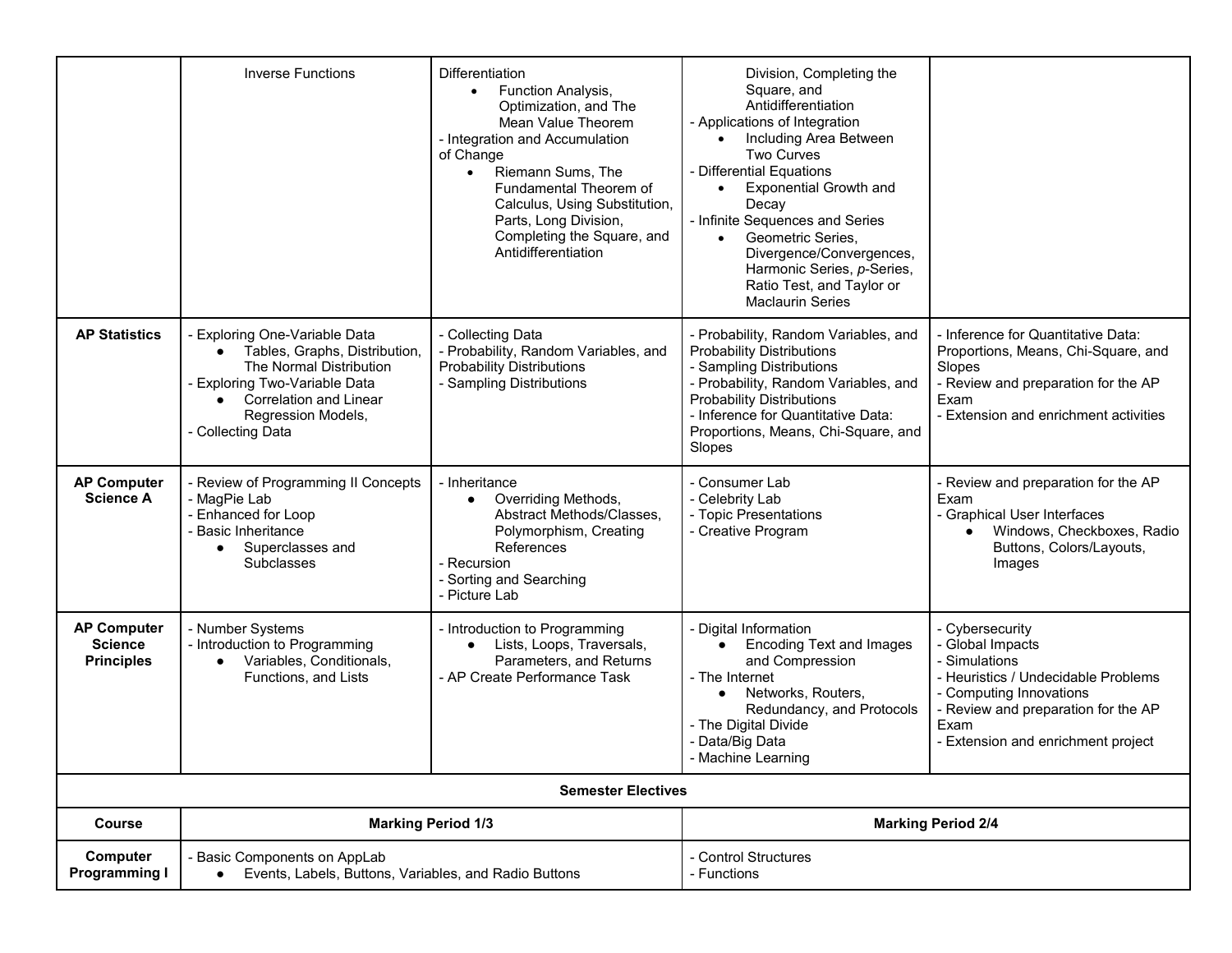|                                                           | <b>Inverse Functions</b>                                                                                                                                                                                                           | Differentiation<br><b>Function Analysis,</b><br>$\bullet$<br>Optimization, and The<br>Mean Value Theorem<br>- Integration and Accumulation<br>of Change<br>Riemann Sums, The<br>$\bullet$<br>Fundamental Theorem of<br>Calculus, Using Substitution,<br>Parts, Long Division,<br>Completing the Square, and<br>Antidifferentiation | Division, Completing the<br>Square, and<br>Antidifferentiation<br>- Applications of Integration<br>Including Area Between<br><b>Two Curves</b><br>- Differential Equations<br><b>Exponential Growth and</b><br>$\bullet$<br>Decay<br>- Infinite Sequences and Series<br>Geometric Series,<br>$\bullet$<br>Divergence/Convergences,<br>Harmonic Series, p-Series,<br>Ratio Test, and Taylor or<br><b>Maclaurin Series</b> |                                                                                                                                                                                                             |
|-----------------------------------------------------------|------------------------------------------------------------------------------------------------------------------------------------------------------------------------------------------------------------------------------------|------------------------------------------------------------------------------------------------------------------------------------------------------------------------------------------------------------------------------------------------------------------------------------------------------------------------------------|--------------------------------------------------------------------------------------------------------------------------------------------------------------------------------------------------------------------------------------------------------------------------------------------------------------------------------------------------------------------------------------------------------------------------|-------------------------------------------------------------------------------------------------------------------------------------------------------------------------------------------------------------|
| <b>AP Statistics</b>                                      | <b>Exploring One-Variable Data</b><br>Tables, Graphs, Distribution,<br>The Normal Distribution<br><b>Exploring Two-Variable Data</b><br><b>Correlation and Linear</b><br>$\bullet$<br>Regression Models,<br><b>Collecting Data</b> | - Collecting Data<br>- Probability, Random Variables, and<br><b>Probability Distributions</b><br>- Sampling Distributions                                                                                                                                                                                                          | - Probability, Random Variables, and<br><b>Probability Distributions</b><br>- Sampling Distributions<br>- Probability, Random Variables, and<br><b>Probability Distributions</b><br>- Inference for Quantitative Data:<br>Proportions, Means, Chi-Square, and<br>Slopes                                                                                                                                                  | - Inference for Quantitative Data:<br>Proportions, Means, Chi-Square, and<br>Slopes<br>- Review and preparation for the AP<br>Exam<br><b>Extension and enrichment activities</b>                            |
| <b>AP Computer</b><br><b>Science A</b>                    | Review of Programming II Concepts<br>- MagPie Lab<br>- Enhanced for Loop<br><b>Basic Inheritance</b><br>Superclasses and<br>$\bullet$<br>Subclasses                                                                                | - Inheritance<br>Overriding Methods,<br>$\bullet$<br>Abstract Methods/Classes,<br>Polymorphism, Creating<br>References<br>- Recursion<br>- Sorting and Searching<br>- Picture Lab                                                                                                                                                  | - Consumer Lab<br>- Celebrity Lab<br>- Topic Presentations<br>- Creative Program                                                                                                                                                                                                                                                                                                                                         | - Review and preparation for the AP<br>Exam<br>- Graphical User Interfaces<br>Windows, Checkboxes, Radio<br>Buttons, Colors/Layouts,<br>Images                                                              |
| <b>AP Computer</b><br><b>Science</b><br><b>Principles</b> | - Number Systems<br>- Introduction to Programming<br>Variables, Conditionals,<br>$\bullet$<br>Functions, and Lists                                                                                                                 | - Introduction to Programming<br>Lists, Loops, Traversals,<br>$\bullet$<br>Parameters, and Returns<br>- AP Create Performance Task                                                                                                                                                                                                 | Digital Information<br><b>Encoding Text and Images</b><br>$\bullet$<br>and Compression<br>- The Internet<br>Networks, Routers,<br>$\bullet$<br>Redundancy, and Protocols<br>- The Digital Divide<br>- Data/Big Data<br>- Machine Learning                                                                                                                                                                                | - Cybersecurity<br>- Global Impacts<br>- Simulations<br>- Heuristics / Undecidable Problems<br>- Computing Innovations<br>- Review and preparation for the AP<br>Exam<br>- Extension and enrichment project |
|                                                           |                                                                                                                                                                                                                                    | <b>Semester Electives</b>                                                                                                                                                                                                                                                                                                          |                                                                                                                                                                                                                                                                                                                                                                                                                          |                                                                                                                                                                                                             |
| <b>Course</b>                                             |                                                                                                                                                                                                                                    | <b>Marking Period 1/3</b>                                                                                                                                                                                                                                                                                                          |                                                                                                                                                                                                                                                                                                                                                                                                                          | <b>Marking Period 2/4</b>                                                                                                                                                                                   |
| Computer<br><b>Programming I</b>                          | - Basic Components on AppLab<br>Events, Labels, Buttons, Variables, and Radio Buttons                                                                                                                                              |                                                                                                                                                                                                                                                                                                                                    | - Control Structures<br>- Functions                                                                                                                                                                                                                                                                                                                                                                                      |                                                                                                                                                                                                             |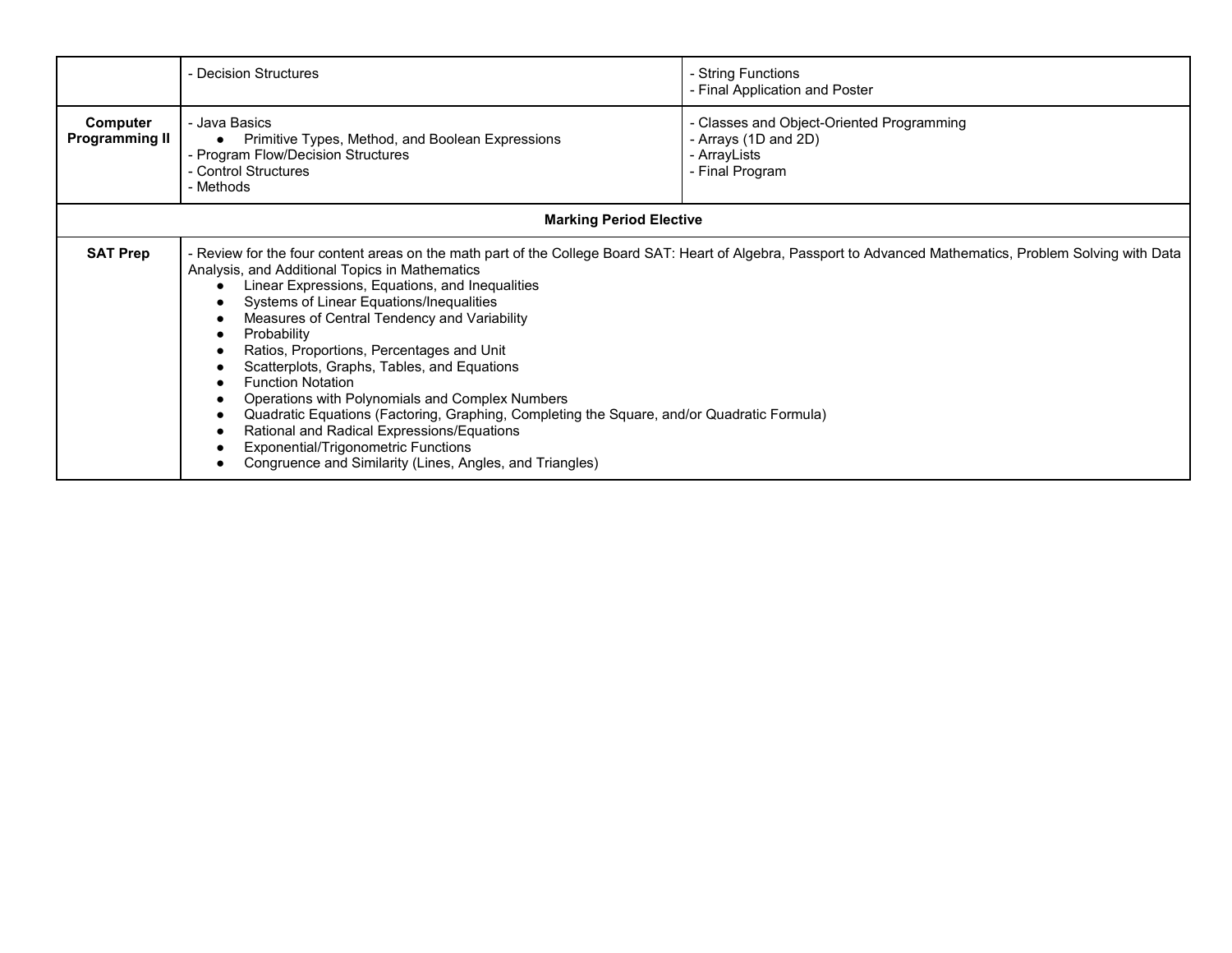|                                                                                                                                                                                                                                                                                                                                                                                                                                                                                                                                                                                                                                                                                                                                                                                                                                  | - Decision Structures                                                                                                                        | - String Functions<br>- Final Application and Poster                                                 |
|----------------------------------------------------------------------------------------------------------------------------------------------------------------------------------------------------------------------------------------------------------------------------------------------------------------------------------------------------------------------------------------------------------------------------------------------------------------------------------------------------------------------------------------------------------------------------------------------------------------------------------------------------------------------------------------------------------------------------------------------------------------------------------------------------------------------------------|----------------------------------------------------------------------------------------------------------------------------------------------|------------------------------------------------------------------------------------------------------|
| Computer<br><b>Programming II</b>                                                                                                                                                                                                                                                                                                                                                                                                                                                                                                                                                                                                                                                                                                                                                                                                | - Java Basics<br>Primitive Types, Method, and Boolean Expressions<br>- Program Flow/Decision Structures<br>- Control Structures<br>- Methods | - Classes and Object-Oriented Programming<br>- Arrays (1D and 2D)<br>- ArrayLists<br>- Final Program |
|                                                                                                                                                                                                                                                                                                                                                                                                                                                                                                                                                                                                                                                                                                                                                                                                                                  | <b>Marking Period Elective</b>                                                                                                               |                                                                                                      |
| <b>SAT Prep</b><br>- Review for the four content areas on the math part of the College Board SAT: Heart of Algebra, Passport to Advanced Mathematics, Problem Solving with Data<br>Analysis, and Additional Topics in Mathematics<br>Linear Expressions, Equations, and Inequalities<br>Systems of Linear Equations/Inequalities<br>Measures of Central Tendency and Variability<br>Probability<br>Ratios, Proportions, Percentages and Unit<br>Scatterplots, Graphs, Tables, and Equations<br><b>Function Notation</b><br>Operations with Polynomials and Complex Numbers<br>Quadratic Equations (Factoring, Graphing, Completing the Square, and/or Quadratic Formula)<br>Rational and Radical Expressions/Equations<br><b>Exponential/Trigonometric Functions</b><br>Congruence and Similarity (Lines, Angles, and Triangles) |                                                                                                                                              |                                                                                                      |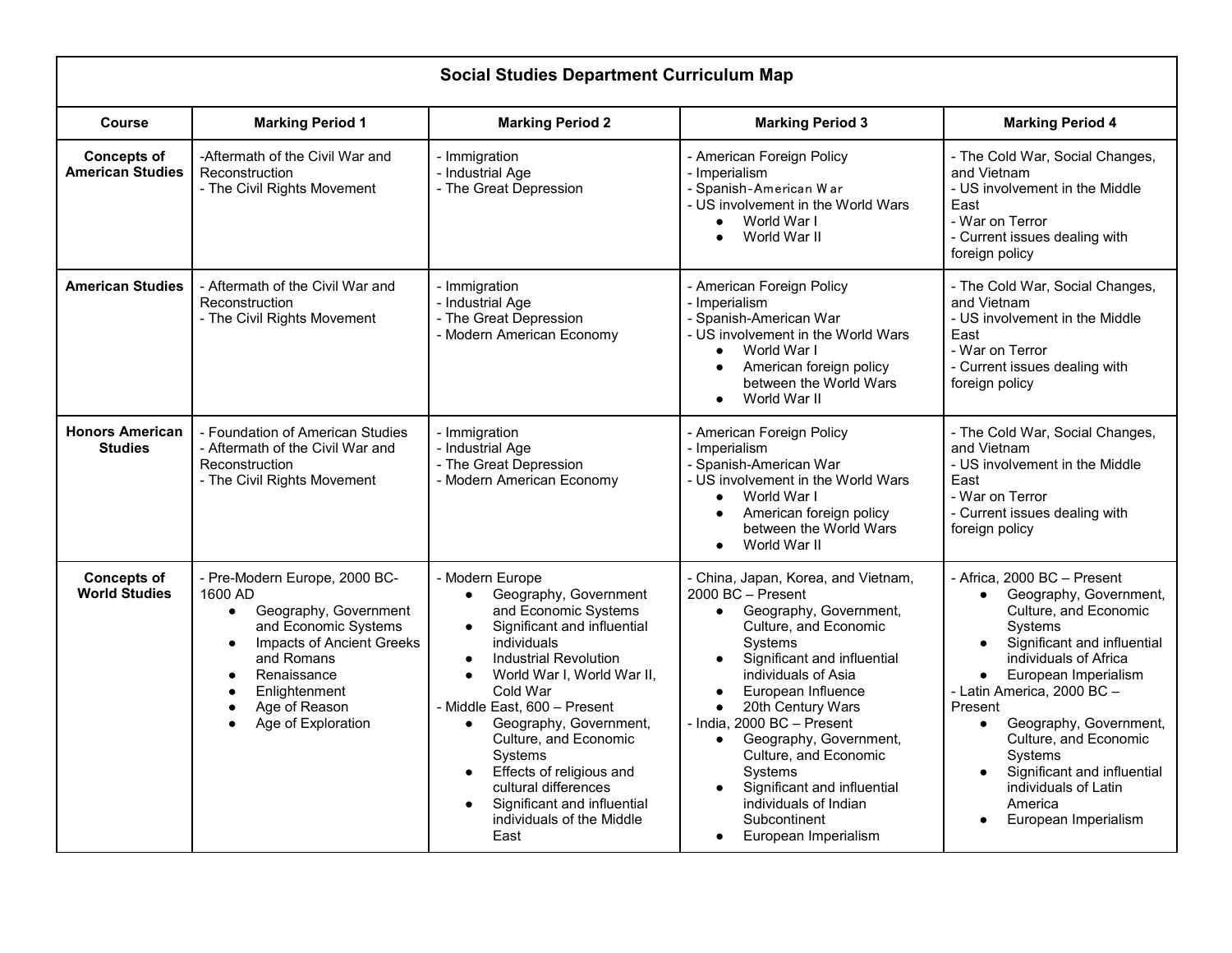| <b>Social Studies Department Curriculum Map</b> |                                                                                                                                                                                                                                                                        |                                                                                                                                                                                                                                                                                                                                                                                                                                                                                                           |                                                                                                                                                                                                                                                                                                                                                                                                                                               |                                                                                                                                                                                                                                                                                                                                                                                                                   |
|-------------------------------------------------|------------------------------------------------------------------------------------------------------------------------------------------------------------------------------------------------------------------------------------------------------------------------|-----------------------------------------------------------------------------------------------------------------------------------------------------------------------------------------------------------------------------------------------------------------------------------------------------------------------------------------------------------------------------------------------------------------------------------------------------------------------------------------------------------|-----------------------------------------------------------------------------------------------------------------------------------------------------------------------------------------------------------------------------------------------------------------------------------------------------------------------------------------------------------------------------------------------------------------------------------------------|-------------------------------------------------------------------------------------------------------------------------------------------------------------------------------------------------------------------------------------------------------------------------------------------------------------------------------------------------------------------------------------------------------------------|
| <b>Course</b>                                   | <b>Marking Period 1</b>                                                                                                                                                                                                                                                | <b>Marking Period 2</b>                                                                                                                                                                                                                                                                                                                                                                                                                                                                                   | <b>Marking Period 3</b>                                                                                                                                                                                                                                                                                                                                                                                                                       | <b>Marking Period 4</b>                                                                                                                                                                                                                                                                                                                                                                                           |
| <b>Concepts of</b><br><b>American Studies</b>   | -Aftermath of the Civil War and<br>Reconstruction<br>- The Civil Rights Movement                                                                                                                                                                                       | - Immigration<br>- Industrial Age<br>- The Great Depression                                                                                                                                                                                                                                                                                                                                                                                                                                               | - American Foreign Policy<br>- Imperialism<br>- Spanish-American War<br>- US involvement in the World Wars<br>World War I<br>World War II                                                                                                                                                                                                                                                                                                     | - The Cold War, Social Changes,<br>and Vietnam<br>- US involvement in the Middle<br>East<br>- War on Terror<br>- Current issues dealing with<br>foreign policy                                                                                                                                                                                                                                                    |
| <b>American Studies</b>                         | - Aftermath of the Civil War and<br>Reconstruction<br>- The Civil Rights Movement                                                                                                                                                                                      | - Immigration<br>- Industrial Age<br>- The Great Depression<br>- Modern American Economy                                                                                                                                                                                                                                                                                                                                                                                                                  | - American Foreign Policy<br>- Imperialism<br>- Spanish-American War<br>- US involvement in the World Wars<br>World War I<br>American foreign policy<br>$\bullet$<br>between the World Wars<br>World War II<br>$\bullet$                                                                                                                                                                                                                      | - The Cold War, Social Changes,<br>and Vietnam<br>- US involvement in the Middle<br>East<br>- War on Terror<br>- Current issues dealing with<br>foreign policy                                                                                                                                                                                                                                                    |
| <b>Honors American</b><br><b>Studies</b>        | - Foundation of American Studies<br>- Aftermath of the Civil War and<br>Reconstruction<br>- The Civil Rights Movement                                                                                                                                                  | - Immigration<br>- Industrial Age<br>- The Great Depression<br>- Modern American Economy                                                                                                                                                                                                                                                                                                                                                                                                                  | - American Foreign Policy<br>- Imperialism<br>- Spanish-American War<br>- US involvement in the World Wars<br>World War I<br>$\bullet$<br>American foreign policy<br>between the World Wars<br>World War II                                                                                                                                                                                                                                   | - The Cold War, Social Changes,<br>and Vietnam<br>- US involvement in the Middle<br>East<br>- War on Terror<br>- Current issues dealing with<br>foreign policy                                                                                                                                                                                                                                                    |
| <b>Concepts of</b><br><b>World Studies</b>      | - Pre-Modern Europe, 2000 BC-<br>1600 AD<br>Geography, Government<br>$\bullet$<br>and Economic Systems<br><b>Impacts of Ancient Greeks</b><br>$\bullet$<br>and Romans<br>Renaissance<br>$\bullet$<br>Enlightenment<br>Age of Reason<br>$\bullet$<br>Age of Exploration | - Modern Europe<br>Geography, Government<br>$\bullet$<br>and Economic Systems<br>Significant and influential<br>$\bullet$<br>individuals<br><b>Industrial Revolution</b><br>$\bullet$<br>World War I, World War II,<br>$\bullet$<br>Cold War<br>- Middle East, 600 - Present<br>Geography, Government,<br>$\bullet$<br>Culture, and Economic<br>Systems<br>Effects of religious and<br>$\bullet$<br>cultural differences<br>Significant and influential<br>$\bullet$<br>individuals of the Middle<br>East | - China, Japan, Korea, and Vietnam,<br>2000 BC - Present<br>Geography, Government,<br>$\bullet$<br>Culture, and Economic<br>Systems<br>Significant and influential<br>individuals of Asia<br>European Influence<br>20th Century Wars<br>- India, 2000 BC - Present<br>Geography, Government,<br>$\bullet$<br>Culture, and Economic<br>Systems<br>Significant and influential<br>individuals of Indian<br>Subcontinent<br>European Imperialism | - Africa, 2000 BC - Present<br>Geography, Government,<br>$\bullet$<br>Culture, and Economic<br>Systems<br>Significant and influential<br>individuals of Africa<br>European Imperialism<br>$\bullet$<br>- Latin America, 2000 BC -<br>Present<br>Geography, Government,<br>$\bullet$<br>Culture, and Economic<br>Systems<br>Significant and influential<br>individuals of Latin<br>America<br>European Imperialism |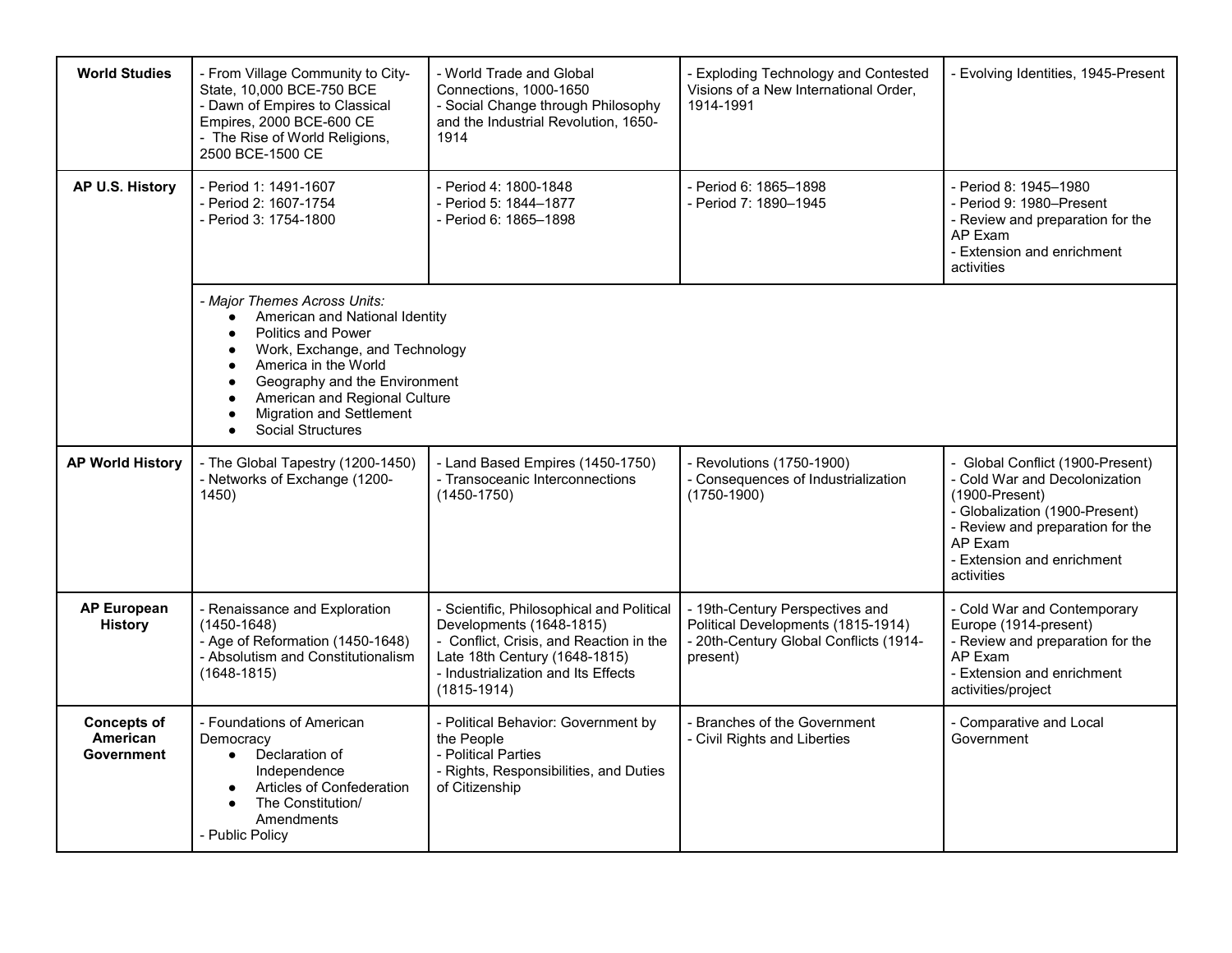| <b>World Studies</b>                         | - From Village Community to City-<br>State, 10,000 BCE-750 BCE<br>- Dawn of Empires to Classical<br>Empires, 2000 BCE-600 CE<br>- The Rise of World Religions,<br>2500 BCE-1500 CE                                                                                                                                                                                         | - World Trade and Global<br>Connections, 1000-1650<br>- Social Change through Philosophy<br>and the Industrial Revolution, 1650-<br>1914                                                                    | - Exploding Technology and Contested<br>Visions of a New International Order,<br>1914-1991                                  | - Evolving Identities, 1945-Present                                                                                                                                                                                |
|----------------------------------------------|----------------------------------------------------------------------------------------------------------------------------------------------------------------------------------------------------------------------------------------------------------------------------------------------------------------------------------------------------------------------------|-------------------------------------------------------------------------------------------------------------------------------------------------------------------------------------------------------------|-----------------------------------------------------------------------------------------------------------------------------|--------------------------------------------------------------------------------------------------------------------------------------------------------------------------------------------------------------------|
| AP U.S. History                              | - Period 1: 1491-1607<br>- Period 2: 1607-1754<br>- Period 3: 1754-1800                                                                                                                                                                                                                                                                                                    | - Period 4: 1800-1848<br>- Period 5: 1844-1877<br>- Period 6: 1865–1898                                                                                                                                     | - Period 6: 1865-1898<br>- Period 7: 1890-1945                                                                              | - Period 8: 1945-1980<br>- Period 9: 1980–Present<br>- Review and preparation for the<br>AP Exam<br>- Extension and enrichment<br>activities                                                                       |
|                                              | - Major Themes Across Units:<br>American and National Identity<br>$\bullet$<br><b>Politics and Power</b><br>$\bullet$<br>Work, Exchange, and Technology<br>$\bullet$<br>America in the World<br>$\bullet$<br>Geography and the Environment<br>$\bullet$<br>American and Regional Culture<br>$\bullet$<br><b>Migration and Settlement</b><br>Social Structures<br>$\bullet$ |                                                                                                                                                                                                             |                                                                                                                             |                                                                                                                                                                                                                    |
| <b>AP World History</b>                      | - The Global Tapestry (1200-1450)<br>- Networks of Exchange (1200-<br>1450)                                                                                                                                                                                                                                                                                                | - Land Based Empires (1450-1750)<br>- Transoceanic Interconnections<br>$(1450 - 1750)$                                                                                                                      | - Revolutions (1750-1900)<br>- Consequences of Industrialization<br>$(1750-1900)$                                           | - Global Conflict (1900-Present)<br>- Cold War and Decolonization<br>$(1900-Present)$<br>- Globalization (1900-Present)<br>- Review and preparation for the<br>AP Exam<br>- Extension and enrichment<br>activities |
| <b>AP European</b><br><b>History</b>         | - Renaissance and Exploration<br>$(1450 - 1648)$<br>- Age of Reformation (1450-1648)<br>- Absolutism and Constitutionalism<br>$(1648 - 1815)$                                                                                                                                                                                                                              | - Scientific, Philosophical and Political<br>Developments (1648-1815)<br>- Conflict, Crisis, and Reaction in the<br>Late 18th Century (1648-1815)<br>- Industrialization and Its Effects<br>$(1815 - 1914)$ | - 19th-Century Perspectives and<br>Political Developments (1815-1914)<br>- 20th-Century Global Conflicts (1914-<br>present) | - Cold War and Contemporary<br>Europe (1914-present)<br>- Review and preparation for the<br>AP Exam<br>- Extension and enrichment<br>activities/project                                                            |
| <b>Concepts of</b><br>American<br>Government | - Foundations of American<br>Democracy<br>Declaration of<br>$\bullet$<br>Independence<br>Articles of Confederation<br>The Constitution/<br>Amendments<br>- Public Policy                                                                                                                                                                                                   | - Political Behavior: Government by<br>the People<br>- Political Parties<br>- Rights, Responsibilities, and Duties<br>of Citizenship                                                                        | - Branches of the Government<br>- Civil Rights and Liberties                                                                | - Comparative and Local<br>Government                                                                                                                                                                              |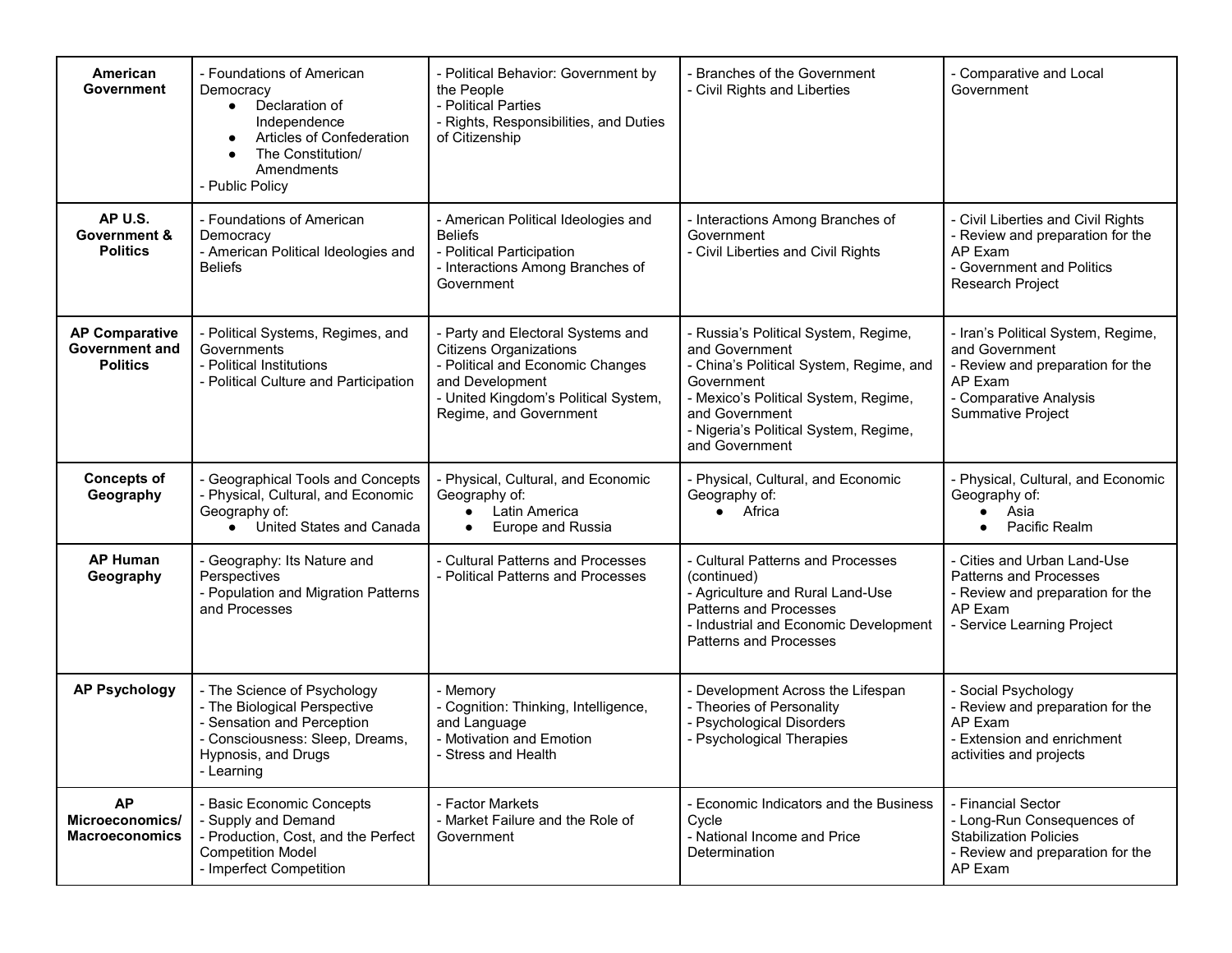| American<br>Government                                            | - Foundations of American<br>Democracy<br>Declaration of<br>$\bullet$<br>Independence<br>Articles of Confederation<br>The Constitution/<br>Amendments<br>- Public Policy | - Political Behavior: Government by<br>the People<br>- Political Parties<br>- Rights, Responsibilities, and Duties<br>of Citizenship                                                        | <b>Branches of the Government</b><br>- Civil Rights and Liberties                                                                                                                                                                  | - Comparative and Local<br>Government                                                                                                                     |
|-------------------------------------------------------------------|--------------------------------------------------------------------------------------------------------------------------------------------------------------------------|---------------------------------------------------------------------------------------------------------------------------------------------------------------------------------------------|------------------------------------------------------------------------------------------------------------------------------------------------------------------------------------------------------------------------------------|-----------------------------------------------------------------------------------------------------------------------------------------------------------|
| AP U.S.<br>Government &<br><b>Politics</b>                        | - Foundations of American<br>Democracy<br>- American Political Ideologies and<br><b>Beliefs</b>                                                                          | - American Political Ideologies and<br><b>Beliefs</b><br>- Political Participation<br>- Interactions Among Branches of<br>Government                                                        | Interactions Among Branches of<br>Government<br>- Civil Liberties and Civil Rights                                                                                                                                                 | - Civil Liberties and Civil Rights<br>- Review and preparation for the<br>AP Exam<br>- Government and Politics<br>Research Project                        |
| <b>AP Comparative</b><br><b>Government and</b><br><b>Politics</b> | - Political Systems, Regimes, and<br>Governments<br>- Political Institutions<br>- Political Culture and Participation                                                    | - Party and Electoral Systems and<br><b>Citizens Organizations</b><br>- Political and Economic Changes<br>and Development<br>- United Kingdom's Political System,<br>Regime, and Government | Russia's Political System, Regime,<br>and Government<br>- China's Political System, Regime, and<br>Government<br>- Mexico's Political System, Regime,<br>and Government<br>- Nigeria's Political System, Regime,<br>and Government | - Iran's Political System, Regime,<br>and Government<br>- Review and preparation for the<br>AP Exam<br>- Comparative Analysis<br><b>Summative Project</b> |
| <b>Concepts of</b><br>Geography                                   | - Geographical Tools and Concepts<br>- Physical, Cultural, and Economic<br>Geography of:<br>United States and Canada                                                     | - Physical, Cultural, and Economic<br>Geography of:<br>Latin America<br>$\bullet$<br>Europe and Russia<br>$\bullet$                                                                         | - Physical, Cultural, and Economic<br>Geography of:<br>• Africa                                                                                                                                                                    | - Physical, Cultural, and Economic<br>Geography of:<br>Asia<br>Pacific Realm                                                                              |
| <b>AP Human</b><br>Geography                                      | - Geography: Its Nature and<br>Perspectives<br>- Population and Migration Patterns<br>and Processes                                                                      | - Cultural Patterns and Processes<br>- Political Patterns and Processes                                                                                                                     | - Cultural Patterns and Processes<br>(continued)<br>- Agriculture and Rural Land-Use<br><b>Patterns and Processes</b><br>- Industrial and Economic Development<br><b>Patterns and Processes</b>                                    | - Cities and Urban Land-Use<br><b>Patterns and Processes</b><br>- Review and preparation for the<br>AP Exam<br>- Service Learning Project                 |
| <b>AP Psychology</b>                                              | - The Science of Psychology<br>- The Biological Perspective<br>- Sensation and Perception<br>- Consciousness: Sleep, Dreams,<br>Hypnosis, and Drugs<br>- Learning        | - Memory<br>- Cognition: Thinking, Intelligence,<br>and Language<br>- Motivation and Emotion<br>- Stress and Health                                                                         | Development Across the Lifespan<br>Theories of Personality<br><b>Psychological Disorders</b><br><b>Psychological Therapies</b>                                                                                                     | - Social Psychology<br>- Review and preparation for the<br>AP Exam<br>- Extension and enrichment<br>activities and projects                               |
| <b>AP</b><br>Microeconomics/<br><b>Macroeconomics</b>             | - Basic Economic Concepts<br>- Supply and Demand<br>- Production, Cost, and the Perfect<br><b>Competition Model</b><br>- Imperfect Competition                           | - Factor Markets<br>- Market Failure and the Role of<br>Government                                                                                                                          | Economic Indicators and the Business<br>Cycle<br>- National Income and Price<br>Determination                                                                                                                                      | - Financial Sector<br>- Long-Run Consequences of<br><b>Stabilization Policies</b><br>- Review and preparation for the<br>AP Exam                          |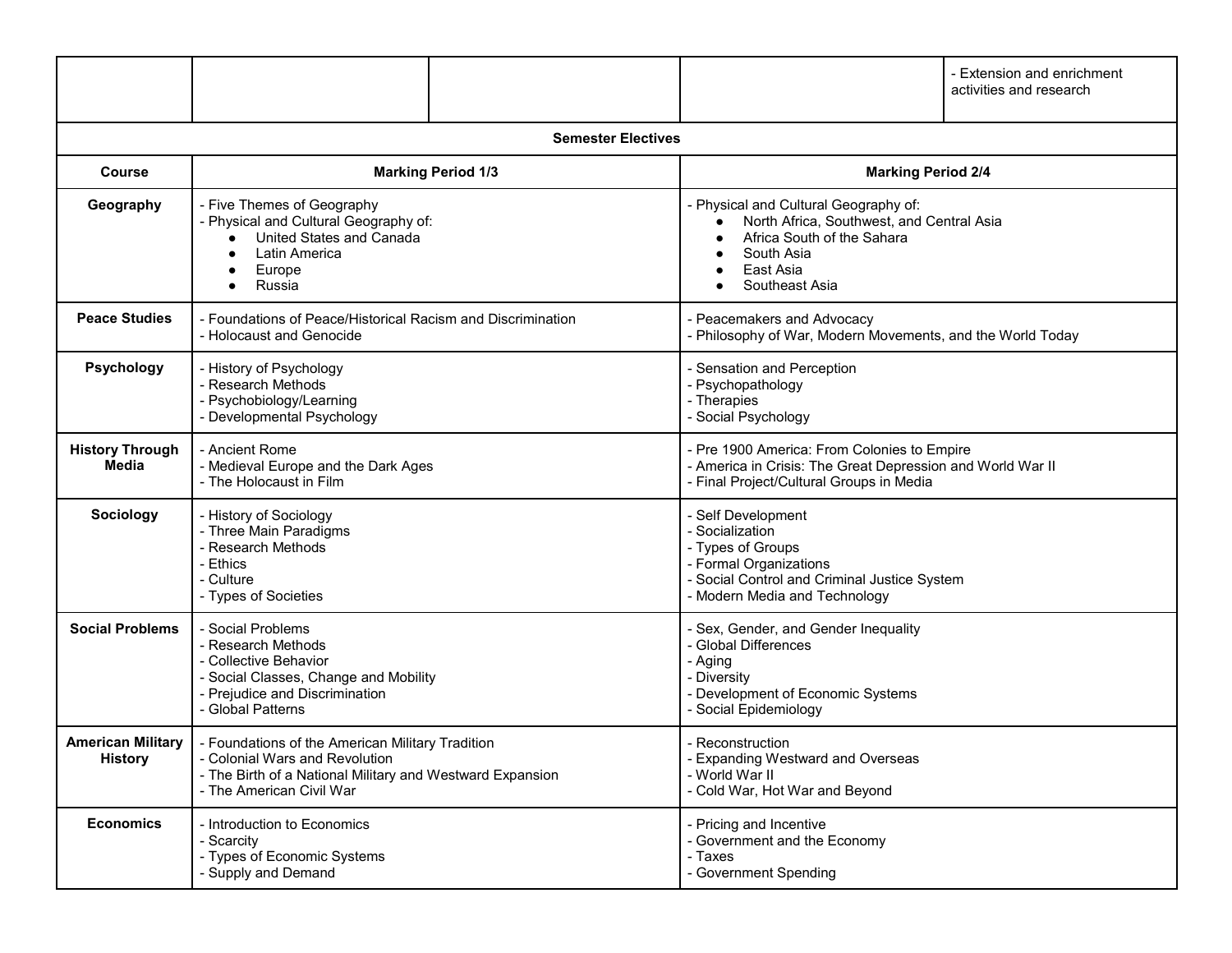|                                            |                                                                                                                                                                             |                           |                                                                                                                                                                       | - Extension and enrichment<br>activities and research |
|--------------------------------------------|-----------------------------------------------------------------------------------------------------------------------------------------------------------------------------|---------------------------|-----------------------------------------------------------------------------------------------------------------------------------------------------------------------|-------------------------------------------------------|
|                                            |                                                                                                                                                                             | <b>Semester Electives</b> |                                                                                                                                                                       |                                                       |
| Course                                     |                                                                                                                                                                             | <b>Marking Period 1/3</b> | <b>Marking Period 2/4</b>                                                                                                                                             |                                                       |
| Geography                                  | - Five Themes of Geography<br>- Physical and Cultural Geography of:<br>United States and Canada<br>Latin America<br>Europe<br>Russia                                        |                           | - Physical and Cultural Geography of:<br>North Africa, Southwest, and Central Asia<br>Africa South of the Sahara<br>South Asia<br>East Asia<br>Southeast Asia         |                                                       |
| <b>Peace Studies</b>                       | - Foundations of Peace/Historical Racism and Discrimination<br>- Holocaust and Genocide                                                                                     |                           | - Peacemakers and Advocacy<br>- Philosophy of War, Modern Movements, and the World Today                                                                              |                                                       |
| Psychology                                 | - History of Psychology<br>- Research Methods<br>- Psychobiology/Learning<br>- Developmental Psychology                                                                     |                           | - Sensation and Perception<br>- Psychopathology<br>- Therapies<br>- Social Psychology                                                                                 |                                                       |
| <b>History Through</b><br>Media            | - Ancient Rome<br>- Medieval Europe and the Dark Ages<br>- The Holocaust in Film                                                                                            |                           | - Pre 1900 America: From Colonies to Empire<br>- America in Crisis: The Great Depression and World War II<br>- Final Project/Cultural Groups in Media                 |                                                       |
| Sociology                                  | - History of Sociology<br>- Three Main Paradigms<br>- Research Methods<br>- Ethics<br>- Culture<br>- Types of Societies                                                     |                           | - Self Development<br>- Socialization<br>- Types of Groups<br>- Formal Organizations<br>- Social Control and Criminal Justice System<br>- Modern Media and Technology |                                                       |
| <b>Social Problems</b>                     | - Social Problems<br>- Research Methods<br>- Collective Behavior<br>- Social Classes, Change and Mobility<br>- Prejudice and Discrimination<br>- Global Patterns            |                           | - Sex, Gender, and Gender Inequality<br>- Global Differences<br>- Aging<br>- Diversity<br>- Development of Economic Systems<br>- Social Epidemiology                  |                                                       |
| <b>American Military</b><br><b>History</b> | - Foundations of the American Military Tradition<br>- Colonial Wars and Revolution<br>- The Birth of a National Military and Westward Expansion<br>- The American Civil War |                           | - Reconstruction<br>- Expanding Westward and Overseas<br>- World War II<br>- Cold War, Hot War and Beyond                                                             |                                                       |
| <b>Economics</b>                           | - Introduction to Economics<br>- Scarcity<br>- Types of Economic Systems<br>- Supply and Demand                                                                             |                           | - Pricing and Incentive<br>- Government and the Economy<br>- Taxes<br>- Government Spending                                                                           |                                                       |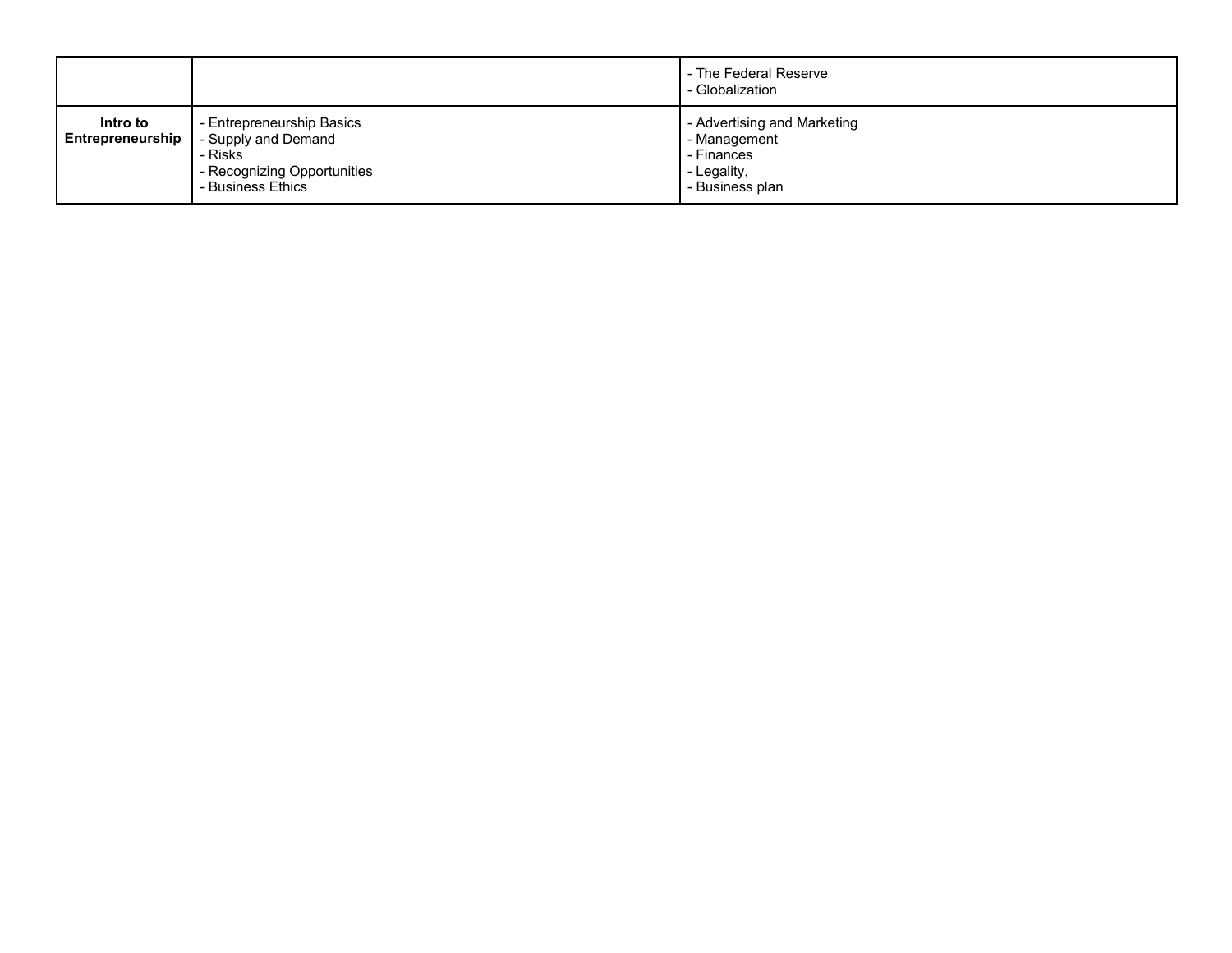|          |                                                                                                                                           | - The Federal Reserve<br>- Globalization                                                    |
|----------|-------------------------------------------------------------------------------------------------------------------------------------------|---------------------------------------------------------------------------------------------|
| Intro to | - Entrepreneurship Basics<br><b>Entrepreneurship</b>   - Supply and Demand<br>- Risks<br>- Recognizing Opportunities<br>- Business Ethics | - Advertising and Marketing<br>- Management<br>- Finances<br>- Legality,<br>- Business plan |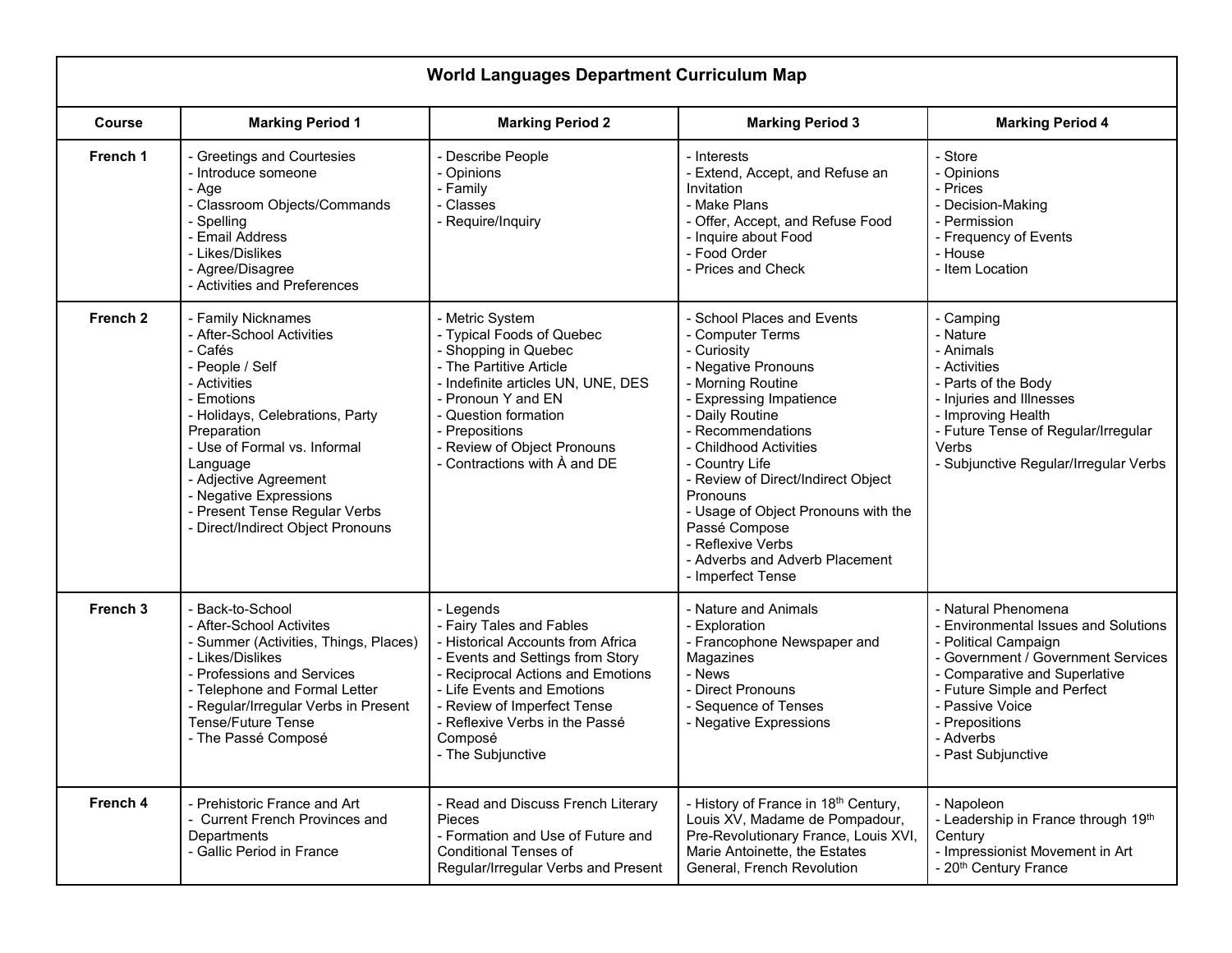|                     | <b>World Languages Department Curriculum Map</b>                                                                                                                                                                                                                                                                                   |                                                                                                                                                                                                                                                                                    |                                                                                                                                                                                                                                                                                                                                                                                                                |                                                                                                                                                                                                                                                                      |  |
|---------------------|------------------------------------------------------------------------------------------------------------------------------------------------------------------------------------------------------------------------------------------------------------------------------------------------------------------------------------|------------------------------------------------------------------------------------------------------------------------------------------------------------------------------------------------------------------------------------------------------------------------------------|----------------------------------------------------------------------------------------------------------------------------------------------------------------------------------------------------------------------------------------------------------------------------------------------------------------------------------------------------------------------------------------------------------------|----------------------------------------------------------------------------------------------------------------------------------------------------------------------------------------------------------------------------------------------------------------------|--|
| <b>Course</b>       | <b>Marking Period 1</b>                                                                                                                                                                                                                                                                                                            | <b>Marking Period 2</b>                                                                                                                                                                                                                                                            | <b>Marking Period 3</b>                                                                                                                                                                                                                                                                                                                                                                                        | <b>Marking Period 4</b>                                                                                                                                                                                                                                              |  |
| French 1            | - Greetings and Courtesies<br>- Introduce someone<br>- Age<br>- Classroom Objects/Commands<br>- Spelling<br>- Email Address<br>- Likes/Dislikes<br>- Agree/Disagree<br>- Activities and Preferences                                                                                                                                | - Describe People<br>- Opinions<br>- Family<br>- Classes<br>- Require/Inquiry                                                                                                                                                                                                      | - Interests<br>- Extend, Accept, and Refuse an<br>Invitation<br>- Make Plans<br>- Offer, Accept, and Refuse Food<br>- Inquire about Food<br>- Food Order<br>- Prices and Check                                                                                                                                                                                                                                 | - Store<br>- Opinions<br>- Prices<br>- Decision-Making<br>- Permission<br>- Frequency of Events<br>- House<br>- Item Location                                                                                                                                        |  |
| French <sub>2</sub> | - Family Nicknames<br>- After-School Activities<br>- Cafés<br>- People / Self<br>- Activities<br>- Emotions<br>- Holidays, Celebrations, Party<br>Preparation<br>- Use of Formal vs. Informal<br>Language<br>- Adjective Agreement<br>- Negative Expressions<br>- Present Tense Regular Verbs<br>- Direct/Indirect Object Pronouns | - Metric System<br>- Typical Foods of Quebec<br>- Shopping in Quebec<br>- The Partitive Article<br>- Indefinite articles UN, UNE, DES<br>- Pronoun Y and EN<br>- Question formation<br>- Prepositions<br>- Review of Object Pronouns<br>- Contractions with À and DE               | - School Places and Events<br>- Computer Terms<br>- Curiosity<br>- Negative Pronouns<br>- Morning Routine<br>- Expressing Impatience<br>- Daily Routine<br>- Recommendations<br>- Childhood Activities<br>- Country Life<br>- Review of Direct/Indirect Object<br>Pronouns<br>- Usage of Object Pronouns with the<br>Passé Compose<br>- Reflexive Verbs<br>- Adverbs and Adverb Placement<br>- Imperfect Tense | - Camping<br>- Nature<br>- Animals<br>- Activities<br>- Parts of the Body<br>- Injuries and Illnesses<br>- Improving Health<br>- Future Tense of Regular/Irregular<br>Verbs<br>- Subjunctive Regular/Irregular Verbs                                                 |  |
| French 3            | - Back-to-School<br>- After-School Activites<br>- Summer (Activities, Things, Places)<br>- Likes/Dislikes<br>- Professions and Services<br>- Telephone and Formal Letter<br>- Regular/Irregular Verbs in Present<br><b>Tense/Future Tense</b><br>- The Passé Composé                                                               | - Legends<br>- Fairy Tales and Fables<br>- Historical Accounts from Africa<br>- Events and Settings from Story<br>- Reciprocal Actions and Emotions<br>- Life Events and Emotions<br>- Review of Imperfect Tense<br>- Reflexive Verbs in the Passé<br>Composé<br>- The Subjunctive | - Nature and Animals<br>- Exploration<br>- Francophone Newspaper and<br>Magazines<br>- News<br>- Direct Pronouns<br>- Sequence of Tenses<br>- Negative Expressions                                                                                                                                                                                                                                             | - Natural Phenomena<br><b>Environmental Issues and Solutions</b><br>- Political Campaign<br>- Government / Government Services<br>- Comparative and Superlative<br>- Future Simple and Perfect<br>- Passive Voice<br>- Prepositions<br>- Adverbs<br>Past Subjunctive |  |
| French 4            | - Prehistoric France and Art<br>- Current French Provinces and<br>Departments<br>- Gallic Period in France                                                                                                                                                                                                                         | - Read and Discuss French Literary<br><b>Pieces</b><br>- Formation and Use of Future and<br><b>Conditional Tenses of</b><br>Regular/Irregular Verbs and Present                                                                                                                    | - History of France in 18 <sup>th</sup> Century,<br>Louis XV, Madame de Pompadour,<br>Pre-Revolutionary France, Louis XVI,<br>Marie Antoinette, the Estates<br>General, French Revolution                                                                                                                                                                                                                      | - Napoleon<br>- Leadership in France through 19th<br>Century<br>- Impressionist Movement in Art<br>- 20 <sup>th</sup> Century France                                                                                                                                 |  |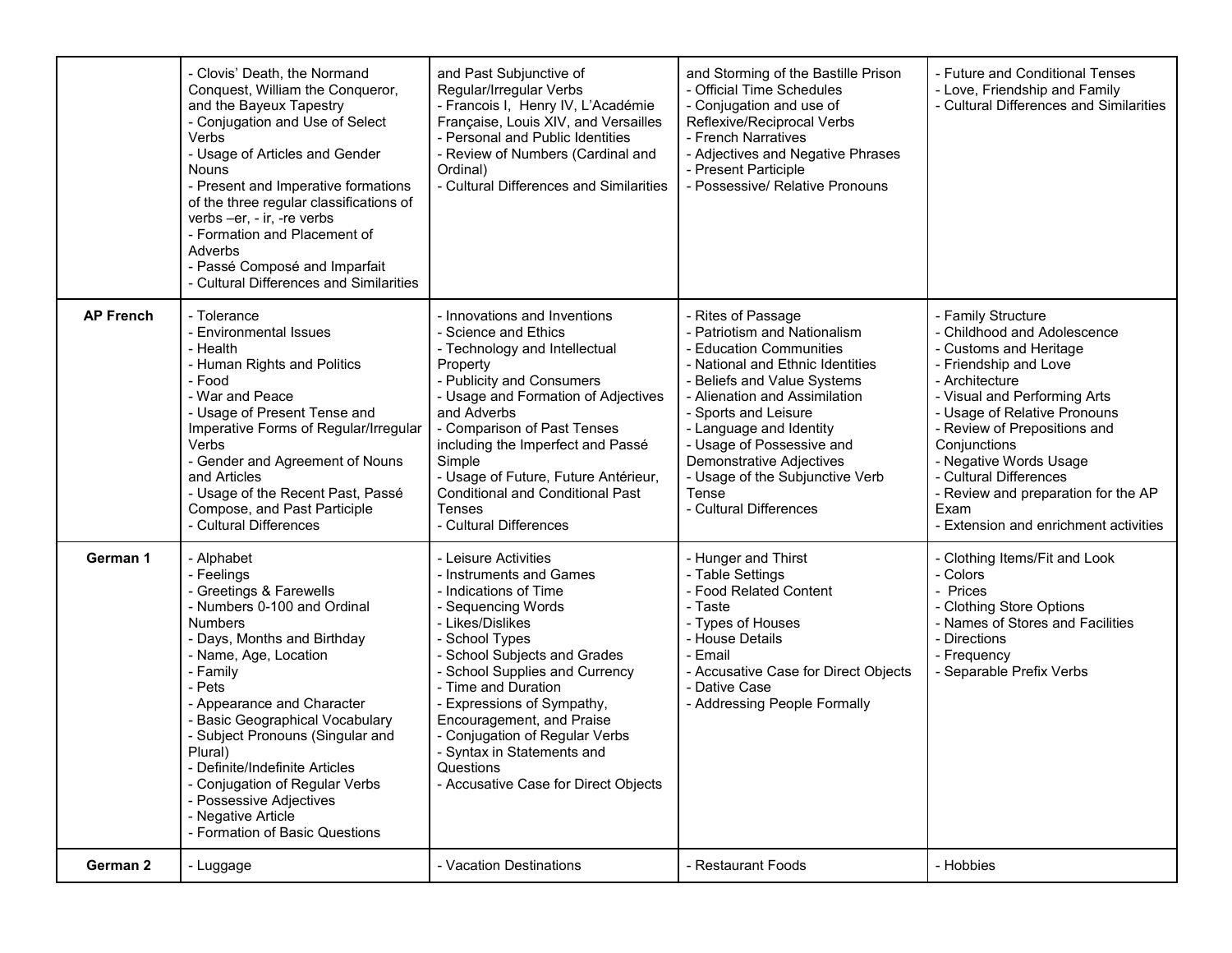|                  | - Clovis' Death, the Normand<br>Conquest, William the Conqueror,<br>and the Bayeux Tapestry<br>- Conjugation and Use of Select<br>Verbs<br>- Usage of Articles and Gender<br><b>Nouns</b><br>- Present and Imperative formations<br>of the three regular classifications of<br>verbs -er, - ir, -re verbs<br>- Formation and Placement of<br>Adverbs<br>- Passé Composé and Imparfait<br>- Cultural Differences and Similarities                          | and Past Subjunctive of<br>Regular/Irregular Verbs<br>- Francois I, Henry IV, L'Académie<br>Française, Louis XIV, and Versailles<br>- Personal and Public Identities<br>- Review of Numbers (Cardinal and<br>Ordinal)<br>- Cultural Differences and Similarities                                                                                                                                              | and Storming of the Bastille Prison<br>- Official Time Schedules<br>- Conjugation and use of<br>Reflexive/Reciprocal Verbs<br>- French Narratives<br>- Adjectives and Negative Phrases<br>- Present Participle<br>- Possessive/ Relative Pronouns                                                                                                                          | - Future and Conditional Tenses<br>- Love, Friendship and Family<br>- Cultural Differences and Similarities                                                                                                                                                                                                                                                                        |
|------------------|-----------------------------------------------------------------------------------------------------------------------------------------------------------------------------------------------------------------------------------------------------------------------------------------------------------------------------------------------------------------------------------------------------------------------------------------------------------|---------------------------------------------------------------------------------------------------------------------------------------------------------------------------------------------------------------------------------------------------------------------------------------------------------------------------------------------------------------------------------------------------------------|----------------------------------------------------------------------------------------------------------------------------------------------------------------------------------------------------------------------------------------------------------------------------------------------------------------------------------------------------------------------------|------------------------------------------------------------------------------------------------------------------------------------------------------------------------------------------------------------------------------------------------------------------------------------------------------------------------------------------------------------------------------------|
| <b>AP French</b> | - Tolerance<br>- Environmental Issues<br>- Health<br>- Human Rights and Politics<br>- Food<br>- War and Peace<br>- Usage of Present Tense and<br>Imperative Forms of Regular/Irregular<br>Verbs<br>- Gender and Agreement of Nouns<br>and Articles<br>- Usage of the Recent Past, Passé<br>Compose, and Past Participle<br>- Cultural Differences                                                                                                         | - Innovations and Inventions<br>- Science and Ethics<br>- Technology and Intellectual<br>Property<br>- Publicity and Consumers<br>- Usage and Formation of Adjectives<br>and Adverbs<br>- Comparison of Past Tenses<br>including the Imperfect and Passé<br>Simple<br>- Usage of Future, Future Antérieur,<br><b>Conditional and Conditional Past</b><br><b>Tenses</b><br>- Cultural Differences              | - Rites of Passage<br>- Patriotism and Nationalism<br>- Education Communities<br>- National and Ethnic Identities<br>- Beliefs and Value Systems<br>- Alienation and Assimilation<br>- Sports and Leisure<br>- Language and Identity<br>- Usage of Possessive and<br><b>Demonstrative Adjectives</b><br>- Usage of the Subjunctive Verb<br>Tense<br>- Cultural Differences | - Family Structure<br>- Childhood and Adolescence<br>- Customs and Heritage<br>- Friendship and Love<br>- Architecture<br>- Visual and Performing Arts<br>- Usage of Relative Pronouns<br>- Review of Prepositions and<br>Conjunctions<br>- Negative Words Usage<br>- Cultural Differences<br>- Review and preparation for the AP<br>Exam<br>- Extension and enrichment activities |
| German 1         | - Alphabet<br>- Feelings<br>- Greetings & Farewells<br>- Numbers 0-100 and Ordinal<br><b>Numbers</b><br>- Days, Months and Birthday<br>- Name, Age, Location<br>- Family<br>- Pets<br>- Appearance and Character<br>- Basic Geographical Vocabulary<br>- Subject Pronouns (Singular and<br>Plural)<br>- Definite/Indefinite Articles<br>- Conjugation of Regular Verbs<br>- Possessive Adjectives<br>- Negative Article<br>- Formation of Basic Questions | - Leisure Activities<br>- Instruments and Games<br>- Indications of Time<br>- Sequencing Words<br>- Likes/Dislikes<br>- School Types<br>- School Subjects and Grades<br>- School Supplies and Currency<br>- Time and Duration<br>- Expressions of Sympathy,<br>Encouragement, and Praise<br>- Conjugation of Regular Verbs<br>- Syntax in Statements and<br>Questions<br>- Accusative Case for Direct Objects | - Hunger and Thirst<br>- Table Settings<br>- Food Related Content<br>- Taste<br>- Types of Houses<br>- House Details<br>- Email<br>- Accusative Case for Direct Objects<br>- Dative Case<br>- Addressing People Formally                                                                                                                                                   | - Clothing Items/Fit and Look<br>- Colors<br>- Prices<br>- Clothing Store Options<br>- Names of Stores and Facilities<br>- Directions<br>- Frequency<br>- Separable Prefix Verbs                                                                                                                                                                                                   |
| German 2         | - Luggage                                                                                                                                                                                                                                                                                                                                                                                                                                                 | - Vacation Destinations                                                                                                                                                                                                                                                                                                                                                                                       | - Restaurant Foods                                                                                                                                                                                                                                                                                                                                                         | - Hobbies                                                                                                                                                                                                                                                                                                                                                                          |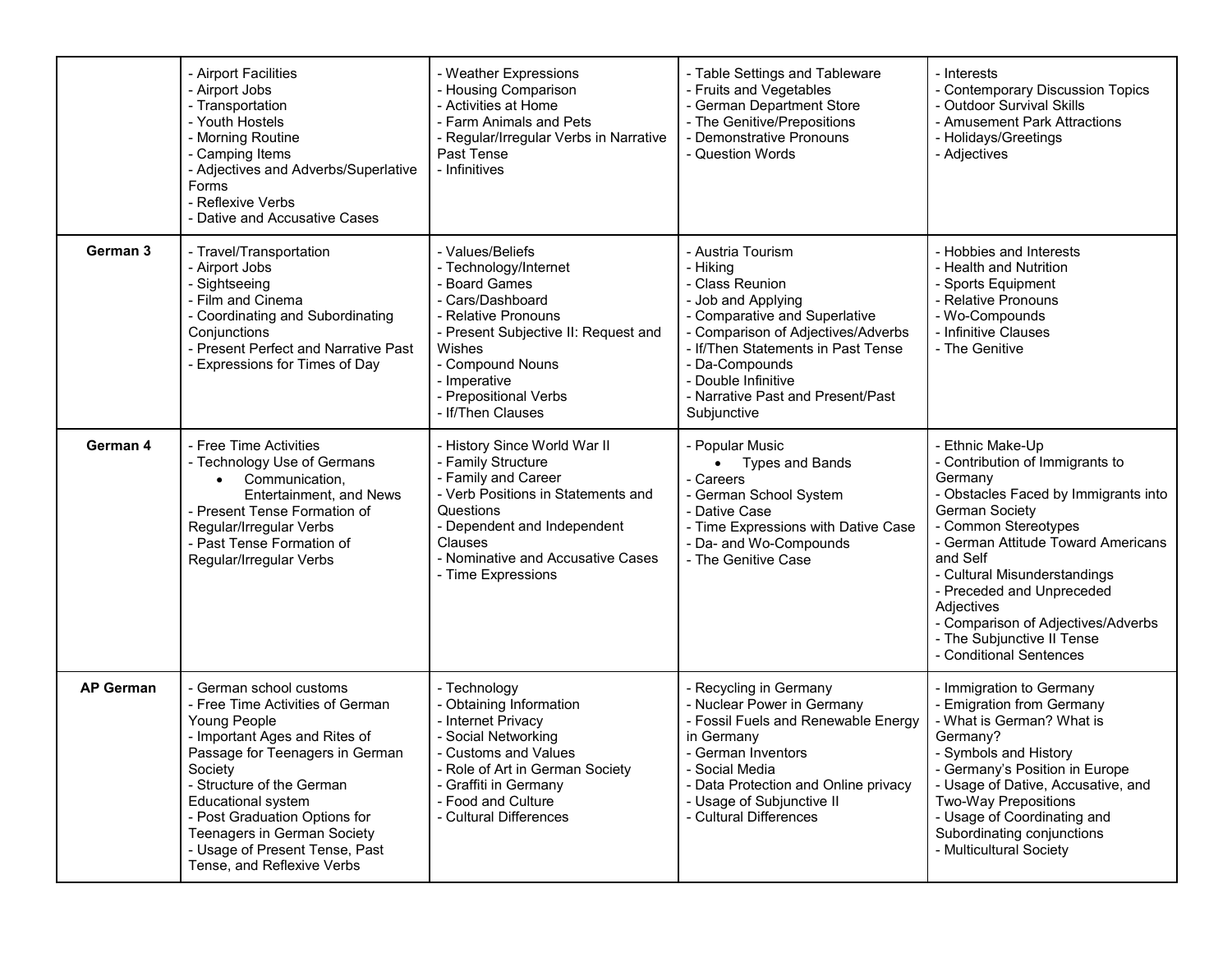|                  | - Airport Facilities<br>- Airport Jobs<br>- Transportation<br>- Youth Hostels<br>- Morning Routine<br>- Camping Items<br>- Adjectives and Adverbs/Superlative<br>Forms<br>- Reflexive Verbs<br>- Dative and Accusative Cases                                                                                                                  | - Weather Expressions<br>- Housing Comparison<br>- Activities at Home<br>- Farm Animals and Pets<br>- Regular/Irregular Verbs in Narrative<br>Past Tense<br>- Infinitives                                                                 | - Table Settings and Tableware<br>- Fruits and Vegetables<br>- German Department Store<br>- The Genitive/Prepositions<br>- Demonstrative Pronouns<br>- Question Words                                                                                                            | - Interests<br>- Contemporary Discussion Topics<br>- Outdoor Survival Skills<br>- Amusement Park Attractions<br>- Holidays/Greetings<br>- Adjectives                                                                                                                                                                                                                              |
|------------------|-----------------------------------------------------------------------------------------------------------------------------------------------------------------------------------------------------------------------------------------------------------------------------------------------------------------------------------------------|-------------------------------------------------------------------------------------------------------------------------------------------------------------------------------------------------------------------------------------------|----------------------------------------------------------------------------------------------------------------------------------------------------------------------------------------------------------------------------------------------------------------------------------|-----------------------------------------------------------------------------------------------------------------------------------------------------------------------------------------------------------------------------------------------------------------------------------------------------------------------------------------------------------------------------------|
| German 3         | - Travel/Transportation<br>- Airport Jobs<br>- Sightseeing<br>- Film and Cinema<br>- Coordinating and Subordinating<br>Conjunctions<br>- Present Perfect and Narrative Past<br>- Expressions for Times of Day                                                                                                                                 | - Values/Beliefs<br>- Technology/Internet<br>- Board Games<br>- Cars/Dashboard<br>- Relative Pronouns<br>- Present Subjective II: Request and<br>Wishes<br>- Compound Nouns<br>- Imperative<br>- Prepositional Verbs<br>- If/Then Clauses | - Austria Tourism<br>- Hiking<br>- Class Reunion<br>- Job and Applying<br>- Comparative and Superlative<br>- Comparison of Adjectives/Adverbs<br>- If/Then Statements in Past Tense<br>- Da-Compounds<br>- Double Infinitive<br>- Narrative Past and Present/Past<br>Subjunctive | - Hobbies and Interests<br>- Health and Nutrition<br>- Sports Equipment<br>- Relative Pronouns<br>- Wo-Compounds<br>- Infinitive Clauses<br>- The Genitive                                                                                                                                                                                                                        |
| German 4         | - Free Time Activities<br>- Technology Use of Germans<br>Communication,<br>$\bullet$<br>Entertainment, and News<br>- Present Tense Formation of<br>Regular/Irregular Verbs<br>- Past Tense Formation of<br>Regular/Irregular Verbs                                                                                                            | - History Since World War II<br>- Family Structure<br>- Family and Career<br>- Verb Positions in Statements and<br>Questions<br>- Dependent and Independent<br>Clauses<br>- Nominative and Accusative Cases<br>- Time Expressions         | - Popular Music<br>• Types and Bands<br>- Careers<br>- German School System<br>- Dative Case<br>- Time Expressions with Dative Case<br>- Da- and Wo-Compounds<br>- The Genitive Case                                                                                             | Ethnic Make-Up<br>- Contribution of Immigrants to<br>Germany<br>- Obstacles Faced by Immigrants into<br><b>German Society</b><br>- Common Stereotypes<br>- German Attitude Toward Americans<br>and Self<br>- Cultural Misunderstandings<br>- Preceded and Unpreceded<br>Adjectives<br>- Comparison of Adjectives/Adverbs<br>- The Subjunctive II Tense<br>- Conditional Sentences |
| <b>AP German</b> | - German school customs<br>- Free Time Activities of German<br>Young People<br>- Important Ages and Rites of<br>Passage for Teenagers in German<br>Society<br>- Structure of the German<br>Educational system<br>- Post Graduation Options for<br>Teenagers in German Society<br>- Usage of Present Tense, Past<br>Tense, and Reflexive Verbs | - Technology<br>- Obtaining Information<br>- Internet Privacy<br>- Social Networking<br>- Customs and Values<br>- Role of Art in German Society<br>- Graffiti in Germany<br>- Food and Culture<br>- Cultural Differences                  | - Recycling in Germany<br>- Nuclear Power in Germany<br>- Fossil Fuels and Renewable Energy<br>in Germany<br>- German Inventors<br>- Social Media<br>- Data Protection and Online privacy<br>- Usage of Subjunctive II<br>- Cultural Differences                                 | - Immigration to Germany<br>- Emigration from Germany<br>- What is German? What is<br>Germany?<br>- Symbols and History<br>- Germany's Position in Europe<br>- Usage of Dative, Accusative, and<br><b>Two-Way Prepositions</b><br>- Usage of Coordinating and<br>Subordinating conjunctions<br>- Multicultural Society                                                            |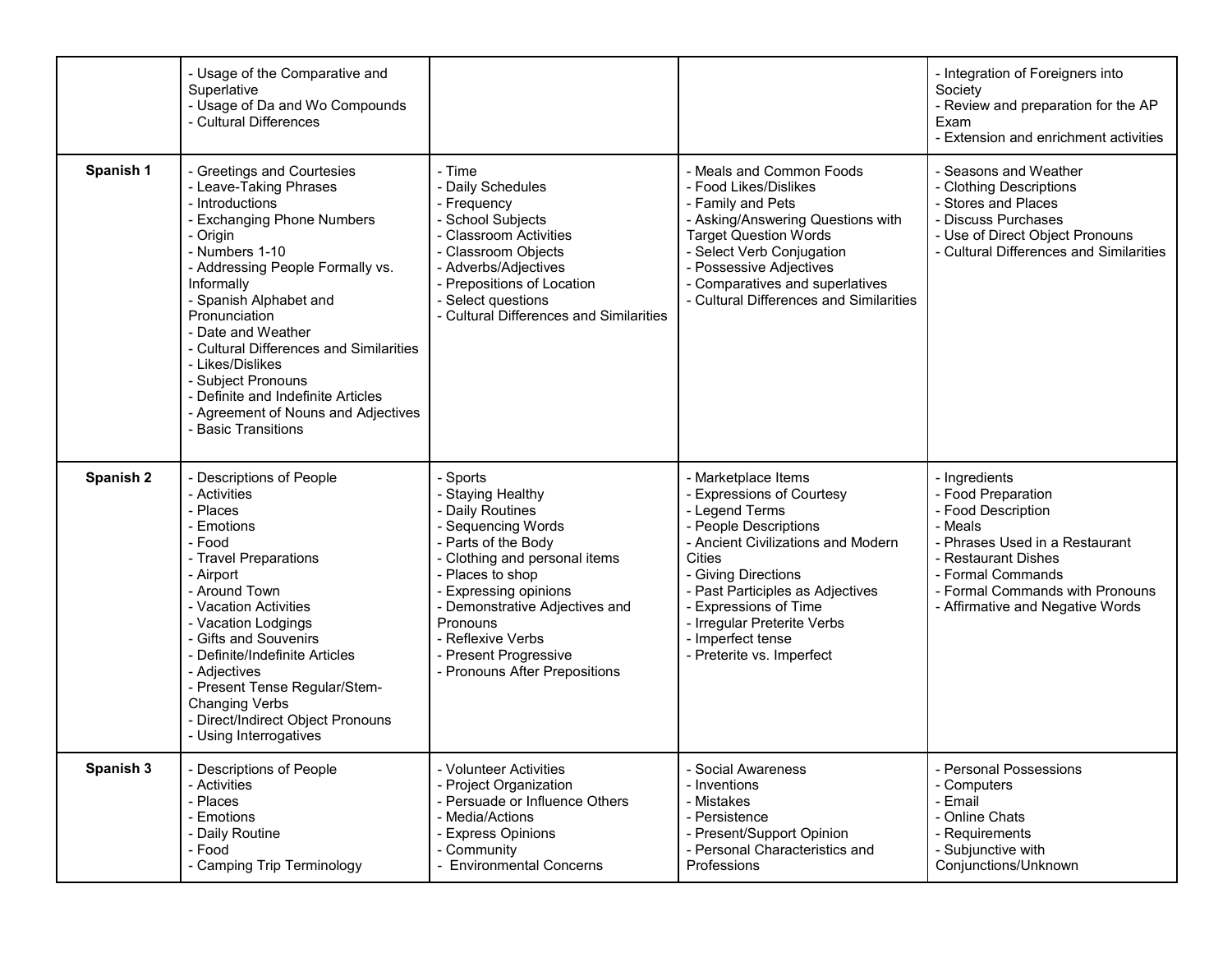|                      | - Usage of the Comparative and<br>Superlative<br>- Usage of Da and Wo Compounds<br>- Cultural Differences                                                                                                                                                                                                                                                                                                                                       |                                                                                                                                                                                                                                                                                                           |                                                                                                                                                                                                                                                                                                                      | - Integration of Foreigners into<br>Society<br>- Review and preparation for the AP<br>Exam<br>- Extension and enrichment activities                                                                                       |
|----------------------|-------------------------------------------------------------------------------------------------------------------------------------------------------------------------------------------------------------------------------------------------------------------------------------------------------------------------------------------------------------------------------------------------------------------------------------------------|-----------------------------------------------------------------------------------------------------------------------------------------------------------------------------------------------------------------------------------------------------------------------------------------------------------|----------------------------------------------------------------------------------------------------------------------------------------------------------------------------------------------------------------------------------------------------------------------------------------------------------------------|---------------------------------------------------------------------------------------------------------------------------------------------------------------------------------------------------------------------------|
| Spanish 1            | - Greetings and Courtesies<br>- Leave-Taking Phrases<br>- Introductions<br>- Exchanging Phone Numbers<br>- Origin<br>- Numbers 1-10<br>- Addressing People Formally vs.<br>Informally<br>- Spanish Alphabet and<br>Pronunciation<br>- Date and Weather<br>- Cultural Differences and Similarities<br>- Likes/Dislikes<br>- Subject Pronouns<br>- Definite and Indefinite Articles<br>- Agreement of Nouns and Adjectives<br>- Basic Transitions | - Time<br>- Daily Schedules<br>- Frequency<br>- School Subjects<br>- Classroom Activities<br>- Classroom Objects<br>- Adverbs/Adjectives<br>- Prepositions of Location<br>- Select questions<br>- Cultural Differences and Similarities                                                                   | - Meals and Common Foods<br>- Food Likes/Dislikes<br>- Family and Pets<br>- Asking/Answering Questions with<br><b>Target Question Words</b><br>- Select Verb Conjugation<br>Possessive Adjectives<br>- Comparatives and superlatives<br>- Cultural Differences and Similarities                                      | - Seasons and Weather<br>- Clothing Descriptions<br>- Stores and Places<br>- Discuss Purchases<br>- Use of Direct Object Pronouns<br>- Cultural Differences and Similarities                                              |
| Spanish <sub>2</sub> | - Descriptions of People<br>- Activities<br>- Places<br>- Emotions<br>- Food<br>- Travel Preparations<br>- Airport<br>- Around Town<br>- Vacation Activities<br>- Vacation Lodgings<br>- Gifts and Souvenirs<br>- Definite/Indefinite Articles<br>- Adjectives<br>- Present Tense Regular/Stem-<br><b>Changing Verbs</b><br>- Direct/Indirect Object Pronouns<br>- Using Interrogatives                                                         | - Sports<br>- Staying Healthy<br>- Daily Routines<br>- Sequencing Words<br>- Parts of the Body<br>- Clothing and personal items<br>- Places to shop<br>- Expressing opinions<br>- Demonstrative Adjectives and<br>Pronouns<br>- Reflexive Verbs<br>- Present Progressive<br>- Pronouns After Prepositions | Marketplace Items<br><b>Expressions of Courtesy</b><br>- Legend Terms<br>- People Descriptions<br>- Ancient Civilizations and Modern<br>Cities<br>- Giving Directions<br>- Past Participles as Adjectives<br><b>Expressions of Time</b><br>Irregular Preterite Verbs<br>- Imperfect tense<br>Preterite vs. Imperfect | - Ingredients<br>- Food Preparation<br>- Food Description<br>- Meals<br>- Phrases Used in a Restaurant<br>- Restaurant Dishes<br>- Formal Commands<br>- Formal Commands with Pronouns<br>- Affirmative and Negative Words |
| Spanish 3            | - Descriptions of People<br>- Activities<br>- Places<br>- Emotions<br>- Daily Routine<br>- Food<br>- Camping Trip Terminology                                                                                                                                                                                                                                                                                                                   | - Volunteer Activities<br>- Project Organization<br>- Persuade or Influence Others<br>- Media/Actions<br>- Express Opinions<br>- Community<br>- Environmental Concerns                                                                                                                                    | - Social Awareness<br>- Inventions<br>Mistakes<br>Persistence<br>Present/Support Opinion<br>- Personal Characteristics and<br>Professions                                                                                                                                                                            | - Personal Possessions<br>- Computers<br>- Email<br>- Online Chats<br>- Requirements<br>- Subjunctive with<br>Conjunctions/Unknown                                                                                        |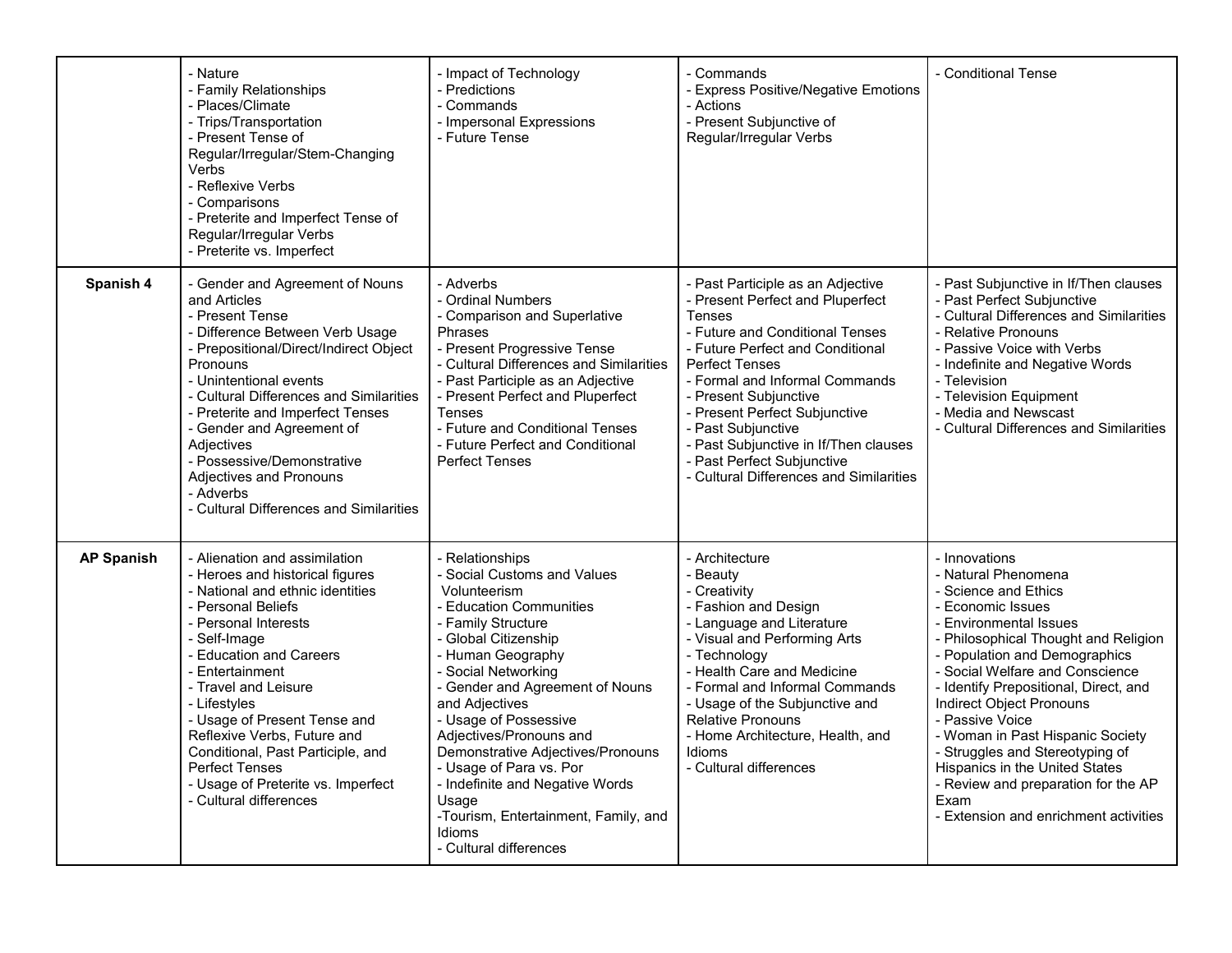|                   | - Nature<br>- Family Relationships<br>- Places/Climate<br>- Trips/Transportation<br>- Present Tense of<br>Regular/Irregular/Stem-Changing<br>Verbs<br>- Reflexive Verbs<br>- Comparisons<br>- Preterite and Imperfect Tense of<br>Regular/Irregular Verbs<br>- Preterite vs. Imperfect                                                                                                                                                                | - Impact of Technology<br>- Predictions<br>- Commands<br>- Impersonal Expressions<br>- Future Tense                                                                                                                                                                                                                                                                                                                                                                                  | - Commands<br>- Express Positive/Negative Emotions<br>- Actions<br>- Present Subjunctive of<br>Regular/Irregular Verbs                                                                                                                                                                                                                                                                                                     | - Conditional Tense                                                                                                                                                                                                                                                                                                                                                                                                                                                                                              |
|-------------------|-------------------------------------------------------------------------------------------------------------------------------------------------------------------------------------------------------------------------------------------------------------------------------------------------------------------------------------------------------------------------------------------------------------------------------------------------------|--------------------------------------------------------------------------------------------------------------------------------------------------------------------------------------------------------------------------------------------------------------------------------------------------------------------------------------------------------------------------------------------------------------------------------------------------------------------------------------|----------------------------------------------------------------------------------------------------------------------------------------------------------------------------------------------------------------------------------------------------------------------------------------------------------------------------------------------------------------------------------------------------------------------------|------------------------------------------------------------------------------------------------------------------------------------------------------------------------------------------------------------------------------------------------------------------------------------------------------------------------------------------------------------------------------------------------------------------------------------------------------------------------------------------------------------------|
| Spanish 4         | - Gender and Agreement of Nouns<br>and Articles<br>- Present Tense<br>- Difference Between Verb Usage<br>- Prepositional/Direct/Indirect Object<br>Pronouns<br>- Unintentional events<br>- Cultural Differences and Similarities<br>- Preterite and Imperfect Tenses<br>- Gender and Agreement of<br>Adjectives<br>- Possessive/Demonstrative<br>Adjectives and Pronouns<br>- Adverbs<br>- Cultural Differences and Similarities                      | - Adverbs<br>- Ordinal Numbers<br>- Comparison and Superlative<br>Phrases<br>- Present Progressive Tense<br>- Cultural Differences and Similarities<br>- Past Participle as an Adjective<br>- Present Perfect and Pluperfect<br><b>Tenses</b><br>- Future and Conditional Tenses<br>- Future Perfect and Conditional<br><b>Perfect Tenses</b>                                                                                                                                        | - Past Participle as an Adjective<br>- Present Perfect and Pluperfect<br><b>Tenses</b><br>- Future and Conditional Tenses<br>- Future Perfect and Conditional<br><b>Perfect Tenses</b><br>- Formal and Informal Commands<br>- Present Subjunctive<br>- Present Perfect Subjunctive<br>- Past Subjunctive<br>- Past Subjunctive in If/Then clauses<br>- Past Perfect Subjunctive<br>- Cultural Differences and Similarities | - Past Subjunctive in If/Then clauses<br>- Past Perfect Subjunctive<br>- Cultural Differences and Similarities<br>- Relative Pronouns<br>- Passive Voice with Verbs<br>- Indefinite and Negative Words<br>- Television<br>- Television Equipment<br>- Media and Newscast<br>- Cultural Differences and Similarities                                                                                                                                                                                              |
| <b>AP Spanish</b> | - Alienation and assimilation<br>- Heroes and historical figures<br>- National and ethnic identities<br>- Personal Beliefs<br>- Personal Interests<br>- Self-Image<br>- Education and Careers<br>- Entertainment<br>- Travel and Leisure<br>- Lifestyles<br>- Usage of Present Tense and<br>Reflexive Verbs, Future and<br>Conditional, Past Participle, and<br><b>Perfect Tenses</b><br>- Usage of Preterite vs. Imperfect<br>- Cultural differences | - Relationships<br>- Social Customs and Values<br>Volunteerism<br>- Education Communities<br>- Family Structure<br>- Global Citizenship<br>- Human Geography<br>- Social Networking<br>- Gender and Agreement of Nouns<br>and Adjectives<br>- Usage of Possessive<br>Adjectives/Pronouns and<br>Demonstrative Adjectives/Pronouns<br>- Usage of Para vs. Por<br>- Indefinite and Negative Words<br>Usage<br>-Tourism, Entertainment, Family, and<br>Idioms<br>- Cultural differences | - Architecture<br>- Beauty<br>- Creativity<br>- Fashion and Design<br>- Language and Literature<br>- Visual and Performing Arts<br>- Technology<br>- Health Care and Medicine<br>- Formal and Informal Commands<br>- Usage of the Subjunctive and<br><b>Relative Pronouns</b><br>- Home Architecture, Health, and<br>Idioms<br>- Cultural differences                                                                      | - Innovations<br>- Natural Phenomena<br>- Science and Ethics<br>- Economic Issues<br>- Environmental Issues<br>- Philosophical Thought and Religion<br>- Population and Demographics<br>- Social Welfare and Conscience<br>- Identify Prepositional, Direct, and<br>Indirect Object Pronouns<br>- Passive Voice<br>- Woman in Past Hispanic Society<br>- Struggles and Stereotyping of<br>Hispanics in the United States<br>- Review and preparation for the AP<br>Exam<br>- Extension and enrichment activities |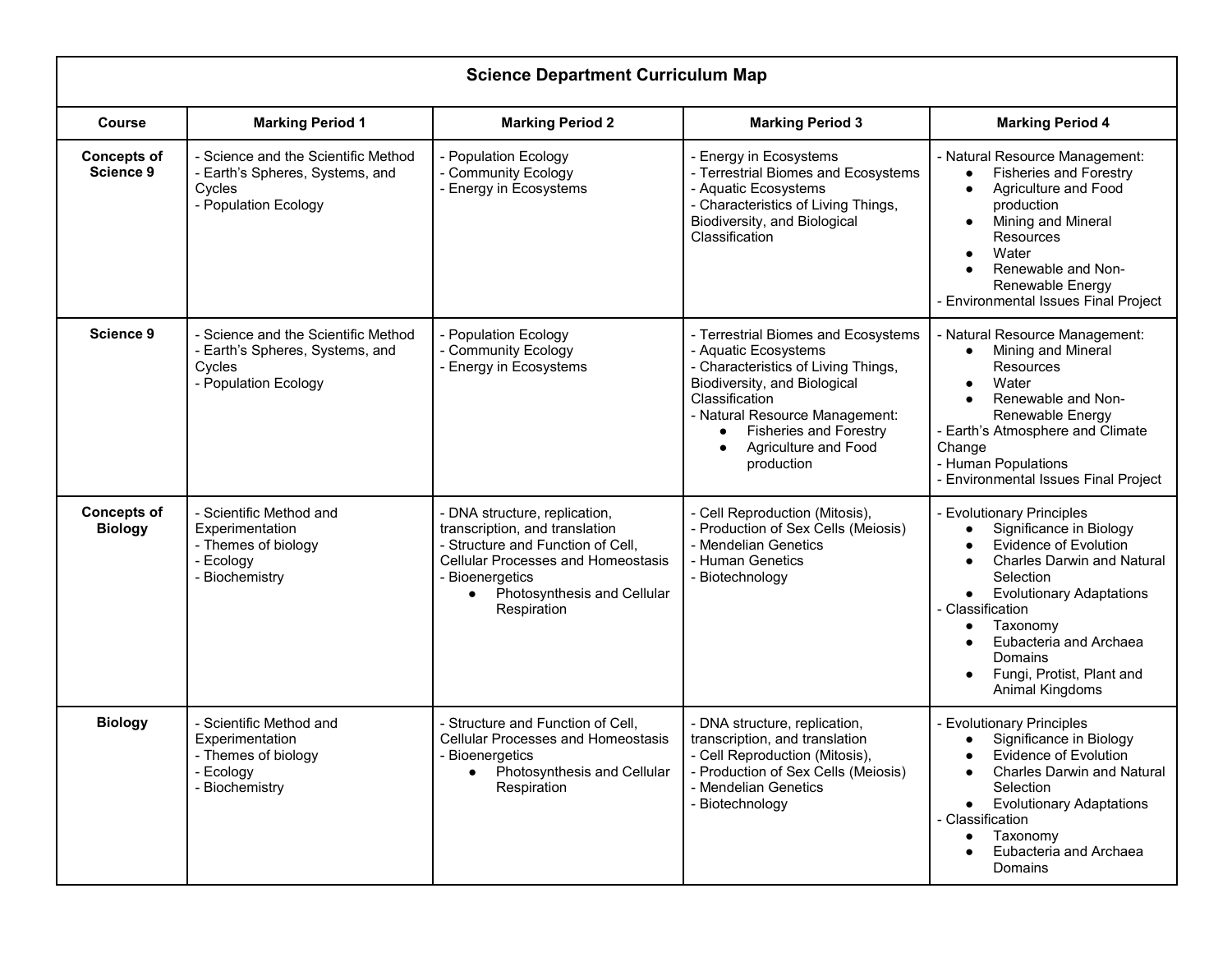|                                      | <b>Science Department Curriculum Map</b>                                                                 |                                                                                                                                                                                                                                 |                                                                                                                                                                                                                                                                                 |                                                                                                                                                                                                                                                                                                |  |
|--------------------------------------|----------------------------------------------------------------------------------------------------------|---------------------------------------------------------------------------------------------------------------------------------------------------------------------------------------------------------------------------------|---------------------------------------------------------------------------------------------------------------------------------------------------------------------------------------------------------------------------------------------------------------------------------|------------------------------------------------------------------------------------------------------------------------------------------------------------------------------------------------------------------------------------------------------------------------------------------------|--|
| <b>Course</b>                        | <b>Marking Period 1</b>                                                                                  | <b>Marking Period 2</b>                                                                                                                                                                                                         | <b>Marking Period 3</b>                                                                                                                                                                                                                                                         | <b>Marking Period 4</b>                                                                                                                                                                                                                                                                        |  |
| <b>Concepts of</b><br>Science 9      | - Science and the Scientific Method<br>- Earth's Spheres, Systems, and<br>Cycles<br>- Population Ecology | - Population Ecology<br>- Community Ecology<br>- Energy in Ecosystems                                                                                                                                                           | - Energy in Ecosystems<br>- Terrestrial Biomes and Ecosystems<br>- Aquatic Ecosystems<br>- Characteristics of Living Things,<br>Biodiversity, and Biological<br>Classification                                                                                                  | - Natural Resource Management:<br><b>Fisheries and Forestry</b><br>Agriculture and Food<br>$\bullet$<br>production<br>Mining and Mineral<br>$\bullet$<br><b>Resources</b><br>Water<br>Renewable and Non-<br>Renewable Energy<br>- Environmental Issues Final Project                           |  |
| <b>Science 9</b>                     | - Science and the Scientific Method<br>- Earth's Spheres, Systems, and<br>Cycles<br>- Population Ecology | - Population Ecology<br>- Community Ecology<br>- Energy in Ecosystems                                                                                                                                                           | - Terrestrial Biomes and Ecosystems<br>- Aquatic Ecosystems<br>- Characteristics of Living Things,<br>Biodiversity, and Biological<br>Classification<br>- Natural Resource Management:<br><b>Fisheries and Forestry</b><br>٠<br>Agriculture and Food<br>$\bullet$<br>production | - Natural Resource Management:<br>Mining and Mineral<br>$\bullet$<br><b>Resources</b><br>Water<br>Renewable and Non-<br>Renewable Energy<br>- Earth's Atmosphere and Climate<br>Change<br>- Human Populations<br>- Environmental Issues Final Project                                          |  |
| <b>Concepts of</b><br><b>Biology</b> | - Scientific Method and<br>Experimentation<br>- Themes of biology<br>- Ecology<br>- Biochemistry         | - DNA structure, replication,<br>transcription, and translation<br>- Structure and Function of Cell,<br><b>Cellular Processes and Homeostasis</b><br>- Bioenergetics<br>Photosynthesis and Cellular<br>$\bullet$<br>Respiration | - Cell Reproduction (Mitosis),<br>- Production of Sex Cells (Meiosis)<br>- Mendelian Genetics<br>- Human Genetics<br>- Biotechnology                                                                                                                                            | - Evolutionary Principles<br>Significance in Biology<br><b>Evidence of Evolution</b><br><b>Charles Darwin and Natural</b><br>Selection<br><b>Evolutionary Adaptations</b><br>- Classification<br>Taxonomy<br>Eubacteria and Archaea<br>Domains<br>Fungi, Protist, Plant and<br>Animal Kingdoms |  |
| <b>Biology</b>                       | - Scientific Method and<br>Experimentation<br>- Themes of biology<br>- Ecology<br>- Biochemistry         | - Structure and Function of Cell,<br><b>Cellular Processes and Homeostasis</b><br>- Bioenergetics<br>Photosynthesis and Cellular<br>$\bullet$<br>Respiration                                                                    | - DNA structure, replication,<br>transcription, and translation<br>- Cell Reproduction (Mitosis),<br>- Production of Sex Cells (Meiosis)<br>- Mendelian Genetics<br>- Biotechnology                                                                                             | - Evolutionary Principles<br>Significance in Biology<br>Evidence of Evolution<br><b>Charles Darwin and Natural</b><br>Selection<br><b>Evolutionary Adaptations</b><br>$\bullet$<br>- Classification<br>Taxonomy<br>Eubacteria and Archaea<br><b>Domains</b>                                    |  |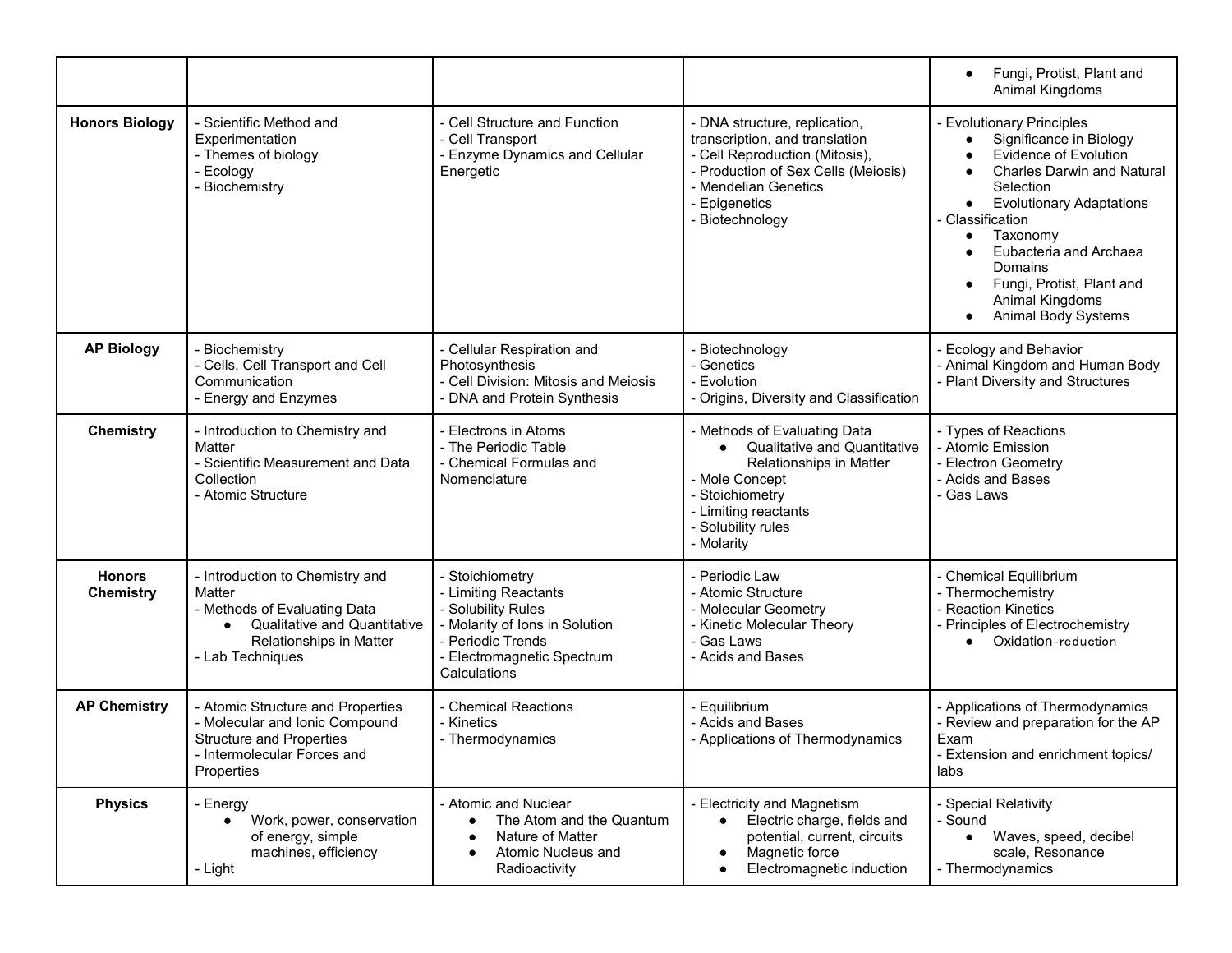|                                   |                                                                                                                                                                       |                                                                                                                                                                    |                                                                                                                                                                                                      | Fungi, Protist, Plant and<br>$\bullet$<br>Animal Kingdoms                                                                                                                                                                                                                                                                                       |
|-----------------------------------|-----------------------------------------------------------------------------------------------------------------------------------------------------------------------|--------------------------------------------------------------------------------------------------------------------------------------------------------------------|------------------------------------------------------------------------------------------------------------------------------------------------------------------------------------------------------|-------------------------------------------------------------------------------------------------------------------------------------------------------------------------------------------------------------------------------------------------------------------------------------------------------------------------------------------------|
| <b>Honors Biology</b>             | - Scientific Method and<br>Experimentation<br>- Themes of biology<br>- Ecology<br>- Biochemistry                                                                      | - Cell Structure and Function<br>- Cell Transport<br>- Enzyme Dynamics and Cellular<br>Energetic                                                                   | - DNA structure, replication,<br>transcription, and translation<br>- Cell Reproduction (Mitosis),<br>- Production of Sex Cells (Meiosis)<br>- Mendelian Genetics<br>- Epigenetics<br>- Biotechnology | - Evolutionary Principles<br>Significance in Biology<br><b>Evidence of Evolution</b><br><b>Charles Darwin and Natural</b><br>Selection<br><b>Evolutionary Adaptations</b><br>$\bullet$<br>- Classification<br>Taxonomy<br>$\bullet$<br>Eubacteria and Archaea<br>Domains<br>Fungi, Protist, Plant and<br>Animal Kingdoms<br>Animal Body Systems |
| <b>AP Biology</b>                 | Biochemistry<br>- Cells, Cell Transport and Cell<br>Communication<br>- Energy and Enzymes                                                                             | - Cellular Respiration and<br>Photosynthesis<br>- Cell Division: Mitosis and Meiosis<br>- DNA and Protein Synthesis                                                | - Biotechnology<br>- Genetics<br>- Evolution<br>- Origins, Diversity and Classification                                                                                                              | - Ecology and Behavior<br>- Animal Kingdom and Human Body<br>- Plant Diversity and Structures                                                                                                                                                                                                                                                   |
| <b>Chemistry</b>                  | - Introduction to Chemistry and<br>Matter<br>- Scientific Measurement and Data<br>Collection<br>- Atomic Structure                                                    | - Electrons in Atoms<br>- The Periodic Table<br>- Chemical Formulas and<br>Nomenclature                                                                            | - Methods of Evaluating Data<br><b>Qualitative and Quantitative</b><br>Relationships in Matter<br>- Mole Concept<br>- Stoichiometry<br>- Limiting reactants<br>- Solubility rules<br>- Molarity      | - Types of Reactions<br>- Atomic Emission<br>- Electron Geometry<br>- Acids and Bases<br>- Gas Laws                                                                                                                                                                                                                                             |
| <b>Honors</b><br><b>Chemistry</b> | - Introduction to Chemistry and<br>Matter<br>- Methods of Evaluating Data<br>Qualitative and Quantitative<br>$\bullet$<br>Relationships in Matter<br>- Lab Techniques | - Stoichiometry<br>- Limiting Reactants<br>- Solubility Rules<br>- Molarity of Ions in Solution<br>- Periodic Trends<br>- Electromagnetic Spectrum<br>Calculations | - Periodic Law<br>- Atomic Structure<br>- Molecular Geometry<br>- Kinetic Molecular Theory<br>- Gas Laws<br>- Acids and Bases                                                                        | - Chemical Equilibrium<br>- Thermochemistry<br>- Reaction Kinetics<br>- Principles of Electrochemistry<br>• Oxidation-reduction                                                                                                                                                                                                                 |
| <b>AP Chemistry</b>               | - Atomic Structure and Properties<br>- Molecular and Ionic Compound<br><b>Structure and Properties</b><br>- Intermolecular Forces and<br>Properties                   | - Chemical Reactions<br>- Kinetics<br>- Thermodynamics                                                                                                             | - Equilibrium<br>- Acids and Bases<br>- Applications of Thermodynamics                                                                                                                               | - Applications of Thermodynamics<br>- Review and preparation for the AP<br>Exam<br>- Extension and enrichment topics/<br>labs                                                                                                                                                                                                                   |
| <b>Physics</b>                    | - Energy<br>Work, power, conservation<br>$\bullet$<br>of energy, simple<br>machines, efficiency<br>- Light                                                            | - Atomic and Nuclear<br>The Atom and the Quantum<br>Nature of Matter<br>$\bullet$<br>Atomic Nucleus and<br>Radioactivity                                           | - Electricity and Magnetism<br>Electric charge, fields and<br>potential, current, circuits<br>Magnetic force<br>$\bullet$<br>Electromagnetic induction<br>٠                                          | - Special Relativity<br>- Sound<br>Waves, speed, decibel<br>$\bullet$<br>scale, Resonance<br>- Thermodynamics                                                                                                                                                                                                                                   |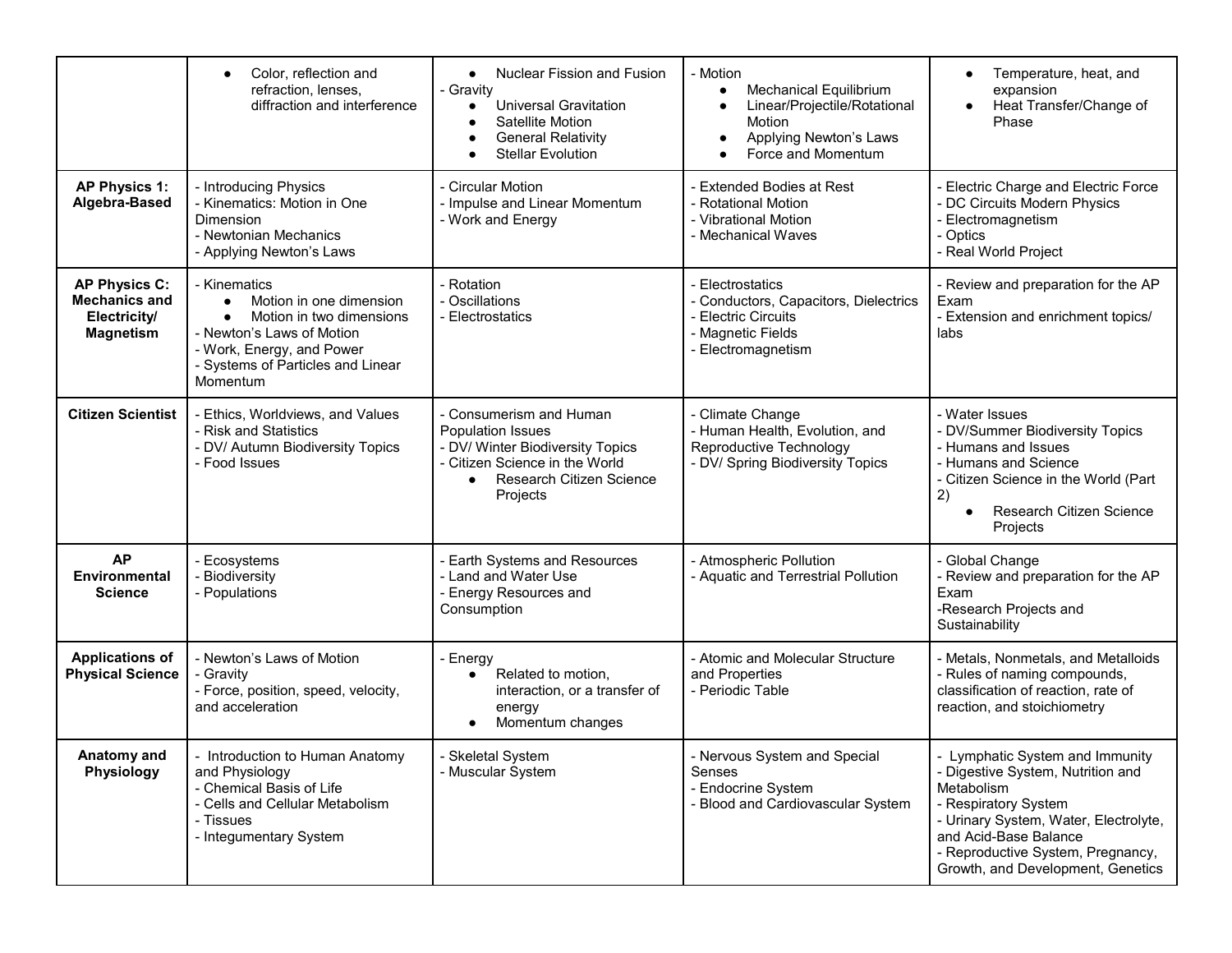|                                                                                  | Color, reflection and<br>$\bullet$<br>refraction, lenses,<br>diffraction and interference                                                                                                                | <b>Nuclear Fission and Fusion</b><br>$\bullet$<br>- Gravitv<br><b>Universal Gravitation</b><br>Satellite Motion<br><b>General Relativity</b><br><b>Stellar Evolution</b> | - Motion<br><b>Mechanical Equilibrium</b><br>$\bullet$<br>Linear/Projectile/Rotational<br>$\bullet$<br>Motion<br>Applying Newton's Laws<br>$\bullet$<br>Force and Momentum<br>$\bullet$ | Temperature, heat, and<br>expansion<br>Heat Transfer/Change of<br>Phase                                                                                                                                                                                |
|----------------------------------------------------------------------------------|----------------------------------------------------------------------------------------------------------------------------------------------------------------------------------------------------------|--------------------------------------------------------------------------------------------------------------------------------------------------------------------------|-----------------------------------------------------------------------------------------------------------------------------------------------------------------------------------------|--------------------------------------------------------------------------------------------------------------------------------------------------------------------------------------------------------------------------------------------------------|
| <b>AP Physics 1:</b><br>Algebra-Based                                            | - Introducing Physics<br>- Kinematics: Motion in One<br>Dimension<br>- Newtonian Mechanics<br>- Applying Newton's Laws                                                                                   | - Circular Motion<br>- Impulse and Linear Momentum<br>- Work and Energy                                                                                                  | - Extended Bodies at Rest<br>- Rotational Motion<br>- Vibrational Motion<br>- Mechanical Waves                                                                                          | - Electric Charge and Electric Force<br>- DC Circuits Modern Physics<br>- Electromagnetism<br>- Optics<br>- Real World Project                                                                                                                         |
| <b>AP Physics C:</b><br><b>Mechanics and</b><br>Electricity/<br><b>Magnetism</b> | - Kinematics<br>Motion in one dimension<br>$\bullet$<br>Motion in two dimensions<br>$\bullet$<br>- Newton's Laws of Motion<br>- Work, Energy, and Power<br>- Systems of Particles and Linear<br>Momentum | Rotation<br>- Oscillations<br>- Electrostatics                                                                                                                           | Electrostatics<br>- Conductors, Capacitors, Dielectrics<br><b>Electric Circuits</b><br>- Magnetic Fields<br>Electromagnetism                                                            | - Review and preparation for the AP<br>Exam<br>- Extension and enrichment topics/<br>labs                                                                                                                                                              |
| <b>Citizen Scientist</b>                                                         | Ethics, Worldviews, and Values<br>- Risk and Statistics<br>DV/ Autumn Biodiversity Topics<br>- Food Issues                                                                                               | Consumerism and Human<br><b>Population Issues</b><br>- DV/ Winter Biodiversity Topics<br>- Citizen Science in the World<br>Research Citizen Science<br>Projects          | Climate Change<br>- Human Health, Evolution, and<br>Reproductive Technology<br>- DV/ Spring Biodiversity Topics                                                                         | - Water Issues<br>- DV/Summer Biodiversity Topics<br>- Humans and Issues<br>- Humans and Science<br>- Citizen Science in the World (Part<br>2)<br>Research Citizen Science<br>Projects                                                                 |
| <b>AP</b><br>Environmental<br><b>Science</b>                                     | Ecosystems<br><b>Biodiversity</b><br>- Populations                                                                                                                                                       | <b>Earth Systems and Resources</b><br>- Land and Water Use<br>- Energy Resources and<br>Consumption                                                                      | - Atmospheric Pollution<br>- Aquatic and Terrestrial Pollution                                                                                                                          | - Global Change<br>- Review and preparation for the AP<br>Exam<br>-Research Projects and<br>Sustainability                                                                                                                                             |
| <b>Applications of</b><br><b>Physical Science</b>                                | - Newton's Laws of Motion<br>- Gravity<br>- Force, position, speed, velocity,<br>and acceleration                                                                                                        | - Energy<br>Related to motion,<br>interaction, or a transfer of<br>energy<br>Momentum changes                                                                            | - Atomic and Molecular Structure<br>and Properties<br>- Periodic Table                                                                                                                  | - Metals, Nonmetals, and Metalloids<br>- Rules of naming compounds,<br>classification of reaction, rate of<br>reaction, and stoichiometry                                                                                                              |
| Anatomy and<br>Physiology                                                        | - Introduction to Human Anatomy<br>and Physiology<br>- Chemical Basis of Life<br>- Cells and Cellular Metabolism<br>- Tissues<br>- Integumentary System                                                  | - Skeletal System<br>- Muscular System                                                                                                                                   | - Nervous System and Special<br>Senses<br>- Endocrine System<br>- Blood and Cardiovascular System                                                                                       | - Lymphatic System and Immunity<br>- Digestive System, Nutrition and<br>Metabolism<br>- Respiratory System<br>- Urinary System, Water, Electrolyte,<br>and Acid-Base Balance<br>- Reproductive System, Pregnancy,<br>Growth, and Development, Genetics |